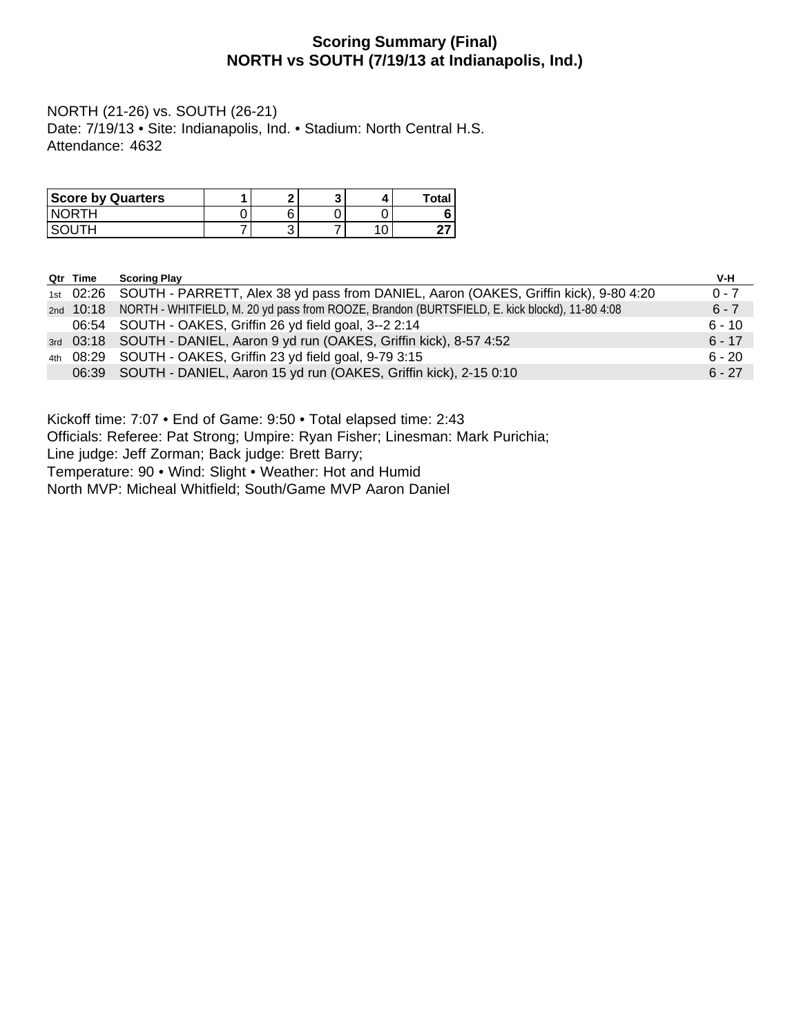## **Scoring Summary (Final) NORTH vs SOUTH (7/19/13 at Indianapolis, Ind.)**

NORTH (21-26) vs. SOUTH (26-21) Date: 7/19/13 • Site: Indianapolis, Ind. • Stadium: North Central H.S. Attendance: 4632

| <b>Score by Quarters</b> | e  |  | Total |
|--------------------------|----|--|-------|
| <b>NORTH</b>             | ิค |  |       |
|                          | ັ  |  | ິ     |

| Qtr Time | <b>Scoring Play</b>                                                                                     | V-H      |
|----------|---------------------------------------------------------------------------------------------------------|----------|
|          | 1st 02:26 SOUTH - PARRETT, Alex 38 yd pass from DANIEL, Aaron (OAKES, Griffin kick), 9-80 4:20          | $0 - 7$  |
|          | 2nd 10:18 NORTH - WHITFIELD, M. 20 yd pass from ROOZE, Brandon (BURTSFIELD, E. kick blockd), 11-80 4:08 | $6 - 7$  |
|          | 06:54 SOUTH - OAKES, Griffin 26 yd field goal, 3--2 2:14                                                | $6 - 10$ |
|          | 3rd 03:18 SOUTH - DANIEL, Aaron 9 yd run (OAKES, Griffin kick), 8-57 4:52                               | $6 - 17$ |
|          | 4th 08:29 SOUTH - OAKES, Griffin 23 yd field goal, 9-79 3:15                                            | $6 - 20$ |
|          | 06:39 SOUTH - DANIEL, Aaron 15 yd run (OAKES, Griffin kick), 2-15 0:10                                  | $6 - 27$ |

Kickoff time: 7:07 • End of Game: 9:50 • Total elapsed time: 2:43

Officials: Referee: Pat Strong; Umpire: Ryan Fisher; Linesman: Mark Purichia;

Line judge: Jeff Zorman; Back judge: Brett Barry;

Temperature: 90 • Wind: Slight • Weather: Hot and Humid

North MVP: Micheal Whitfield; South/Game MVP Aaron Daniel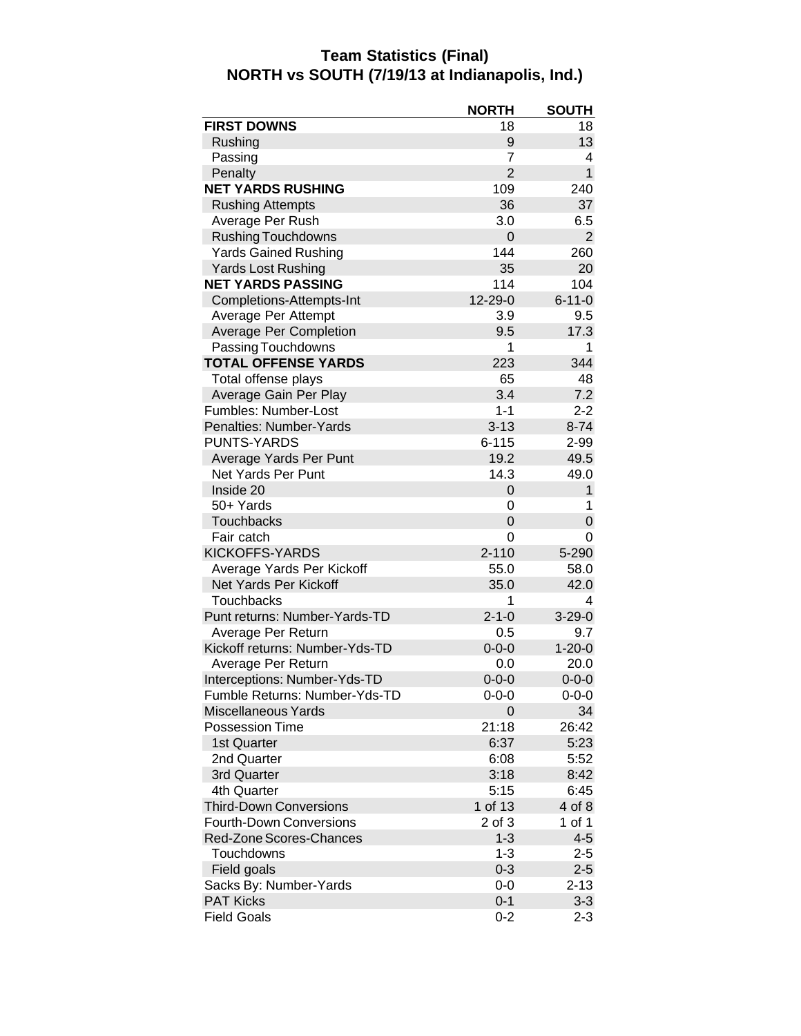#### **Team Statistics (Final) NORTH vs SOUTH (7/19/13 at Indianapolis, Ind.)**

| <b>FIRST DOWNS</b><br>18<br>18<br>13<br>Rushing<br>9<br>7<br>Passing<br>4<br>$\overline{2}$<br>$\mathbf{1}$<br>Penalty<br><b>NET YARDS RUSHING</b><br>109<br>240<br><b>Rushing Attempts</b><br>36<br>37<br>Average Per Rush<br>3.0<br>6.5<br><b>Rushing Touchdowns</b><br>0<br>2<br>144<br><b>Yards Gained Rushing</b><br>260<br>35<br><b>Yards Lost Rushing</b><br>20<br><b>NET YARDS PASSING</b><br>114<br>104<br>12-29-0<br>$6 - 11 - 0$<br>Completions-Attempts-Int<br>Average Per Attempt<br>3.9<br>9.5<br><b>Average Per Completion</b><br>9.5<br>17.3<br>Passing Touchdowns<br>1<br>1<br><b>TOTAL OFFENSE YARDS</b><br>223<br>344<br>48<br>Total offense plays<br>65<br>Average Gain Per Play<br>3.4<br>7.2<br>Fumbles: Number-Lost<br>$1 - 1$<br>$2 - 2$<br>Penalties: Number-Yards<br>$3 - 13$<br>$8 - 74$<br><b>PUNTS-YARDS</b><br>$6 - 115$<br>2-99<br>Average Yards Per Punt<br>19.2<br>49.5<br>Net Yards Per Punt<br>14.3<br>49.0<br>Inside 20<br>$\mathbf{1}$<br>0<br>50+ Yards<br>0<br>1<br><b>Touchbacks</b><br>0<br>0<br>Fair catch<br>0<br>0<br><b>KICKOFFS-YARDS</b><br>$2 - 110$<br>5-290<br>Average Yards Per Kickoff<br>55.0<br>58.0<br>Net Yards Per Kickoff<br>42.0<br>35.0<br>Touchbacks<br>1<br>4<br>Punt returns: Number-Yards-TD<br>$2 - 1 - 0$<br>$3 - 29 - 0$<br>Average Per Return<br>0.5<br>9.7<br>Kickoff returns: Number-Yds-TD<br>$1 - 20 - 0$<br>$0 - 0 - 0$<br>Average Per Return<br>0.0<br>20.0<br>Interceptions: Number-Yds-TD<br>$0 - 0 - 0$<br>$0 - 0 - 0$<br>Fumble Returns: Number-Yds-TD<br>$0 - 0 - 0$<br>$0 - 0 - 0$<br><b>Miscellaneous Yards</b><br>34<br>0<br>Possession Time<br>21:18<br>26:42<br>6:37<br>5:23<br>1st Quarter<br>2nd Quarter<br>6:08<br>5:52<br>3rd Quarter<br>3:18<br>8:42<br>4th Quarter<br>5:15<br>6:45<br><b>Third-Down Conversions</b><br>1 of 13<br>4 of 8<br><b>Fourth-Down Conversions</b><br>2 of 3<br>1 of 1<br>$1 - 3$<br>$4 - 5$<br>Red-Zone Scores-Chances<br>Touchdowns<br>$1 - 3$<br>$2 - 5$ |             | <b>NORTH</b> | <b>SOUTH</b> |
|-------------------------------------------------------------------------------------------------------------------------------------------------------------------------------------------------------------------------------------------------------------------------------------------------------------------------------------------------------------------------------------------------------------------------------------------------------------------------------------------------------------------------------------------------------------------------------------------------------------------------------------------------------------------------------------------------------------------------------------------------------------------------------------------------------------------------------------------------------------------------------------------------------------------------------------------------------------------------------------------------------------------------------------------------------------------------------------------------------------------------------------------------------------------------------------------------------------------------------------------------------------------------------------------------------------------------------------------------------------------------------------------------------------------------------------------------------------------------------------------------------------------------------------------------------------------------------------------------------------------------------------------------------------------------------------------------------------------------------------------------------------------------------------------------------------------------------------------------------------------------------------------------------------------------------------------------------------------------------|-------------|--------------|--------------|
|                                                                                                                                                                                                                                                                                                                                                                                                                                                                                                                                                                                                                                                                                                                                                                                                                                                                                                                                                                                                                                                                                                                                                                                                                                                                                                                                                                                                                                                                                                                                                                                                                                                                                                                                                                                                                                                                                                                                                                               |             |              |              |
|                                                                                                                                                                                                                                                                                                                                                                                                                                                                                                                                                                                                                                                                                                                                                                                                                                                                                                                                                                                                                                                                                                                                                                                                                                                                                                                                                                                                                                                                                                                                                                                                                                                                                                                                                                                                                                                                                                                                                                               |             |              |              |
|                                                                                                                                                                                                                                                                                                                                                                                                                                                                                                                                                                                                                                                                                                                                                                                                                                                                                                                                                                                                                                                                                                                                                                                                                                                                                                                                                                                                                                                                                                                                                                                                                                                                                                                                                                                                                                                                                                                                                                               |             |              |              |
|                                                                                                                                                                                                                                                                                                                                                                                                                                                                                                                                                                                                                                                                                                                                                                                                                                                                                                                                                                                                                                                                                                                                                                                                                                                                                                                                                                                                                                                                                                                                                                                                                                                                                                                                                                                                                                                                                                                                                                               |             |              |              |
|                                                                                                                                                                                                                                                                                                                                                                                                                                                                                                                                                                                                                                                                                                                                                                                                                                                                                                                                                                                                                                                                                                                                                                                                                                                                                                                                                                                                                                                                                                                                                                                                                                                                                                                                                                                                                                                                                                                                                                               |             |              |              |
|                                                                                                                                                                                                                                                                                                                                                                                                                                                                                                                                                                                                                                                                                                                                                                                                                                                                                                                                                                                                                                                                                                                                                                                                                                                                                                                                                                                                                                                                                                                                                                                                                                                                                                                                                                                                                                                                                                                                                                               |             |              |              |
|                                                                                                                                                                                                                                                                                                                                                                                                                                                                                                                                                                                                                                                                                                                                                                                                                                                                                                                                                                                                                                                                                                                                                                                                                                                                                                                                                                                                                                                                                                                                                                                                                                                                                                                                                                                                                                                                                                                                                                               |             |              |              |
|                                                                                                                                                                                                                                                                                                                                                                                                                                                                                                                                                                                                                                                                                                                                                                                                                                                                                                                                                                                                                                                                                                                                                                                                                                                                                                                                                                                                                                                                                                                                                                                                                                                                                                                                                                                                                                                                                                                                                                               |             |              |              |
|                                                                                                                                                                                                                                                                                                                                                                                                                                                                                                                                                                                                                                                                                                                                                                                                                                                                                                                                                                                                                                                                                                                                                                                                                                                                                                                                                                                                                                                                                                                                                                                                                                                                                                                                                                                                                                                                                                                                                                               |             |              |              |
|                                                                                                                                                                                                                                                                                                                                                                                                                                                                                                                                                                                                                                                                                                                                                                                                                                                                                                                                                                                                                                                                                                                                                                                                                                                                                                                                                                                                                                                                                                                                                                                                                                                                                                                                                                                                                                                                                                                                                                               |             |              |              |
|                                                                                                                                                                                                                                                                                                                                                                                                                                                                                                                                                                                                                                                                                                                                                                                                                                                                                                                                                                                                                                                                                                                                                                                                                                                                                                                                                                                                                                                                                                                                                                                                                                                                                                                                                                                                                                                                                                                                                                               |             |              |              |
|                                                                                                                                                                                                                                                                                                                                                                                                                                                                                                                                                                                                                                                                                                                                                                                                                                                                                                                                                                                                                                                                                                                                                                                                                                                                                                                                                                                                                                                                                                                                                                                                                                                                                                                                                                                                                                                                                                                                                                               |             |              |              |
|                                                                                                                                                                                                                                                                                                                                                                                                                                                                                                                                                                                                                                                                                                                                                                                                                                                                                                                                                                                                                                                                                                                                                                                                                                                                                                                                                                                                                                                                                                                                                                                                                                                                                                                                                                                                                                                                                                                                                                               |             |              |              |
|                                                                                                                                                                                                                                                                                                                                                                                                                                                                                                                                                                                                                                                                                                                                                                                                                                                                                                                                                                                                                                                                                                                                                                                                                                                                                                                                                                                                                                                                                                                                                                                                                                                                                                                                                                                                                                                                                                                                                                               |             |              |              |
|                                                                                                                                                                                                                                                                                                                                                                                                                                                                                                                                                                                                                                                                                                                                                                                                                                                                                                                                                                                                                                                                                                                                                                                                                                                                                                                                                                                                                                                                                                                                                                                                                                                                                                                                                                                                                                                                                                                                                                               |             |              |              |
|                                                                                                                                                                                                                                                                                                                                                                                                                                                                                                                                                                                                                                                                                                                                                                                                                                                                                                                                                                                                                                                                                                                                                                                                                                                                                                                                                                                                                                                                                                                                                                                                                                                                                                                                                                                                                                                                                                                                                                               |             |              |              |
|                                                                                                                                                                                                                                                                                                                                                                                                                                                                                                                                                                                                                                                                                                                                                                                                                                                                                                                                                                                                                                                                                                                                                                                                                                                                                                                                                                                                                                                                                                                                                                                                                                                                                                                                                                                                                                                                                                                                                                               |             |              |              |
|                                                                                                                                                                                                                                                                                                                                                                                                                                                                                                                                                                                                                                                                                                                                                                                                                                                                                                                                                                                                                                                                                                                                                                                                                                                                                                                                                                                                                                                                                                                                                                                                                                                                                                                                                                                                                                                                                                                                                                               |             |              |              |
|                                                                                                                                                                                                                                                                                                                                                                                                                                                                                                                                                                                                                                                                                                                                                                                                                                                                                                                                                                                                                                                                                                                                                                                                                                                                                                                                                                                                                                                                                                                                                                                                                                                                                                                                                                                                                                                                                                                                                                               |             |              |              |
|                                                                                                                                                                                                                                                                                                                                                                                                                                                                                                                                                                                                                                                                                                                                                                                                                                                                                                                                                                                                                                                                                                                                                                                                                                                                                                                                                                                                                                                                                                                                                                                                                                                                                                                                                                                                                                                                                                                                                                               |             |              |              |
|                                                                                                                                                                                                                                                                                                                                                                                                                                                                                                                                                                                                                                                                                                                                                                                                                                                                                                                                                                                                                                                                                                                                                                                                                                                                                                                                                                                                                                                                                                                                                                                                                                                                                                                                                                                                                                                                                                                                                                               |             |              |              |
|                                                                                                                                                                                                                                                                                                                                                                                                                                                                                                                                                                                                                                                                                                                                                                                                                                                                                                                                                                                                                                                                                                                                                                                                                                                                                                                                                                                                                                                                                                                                                                                                                                                                                                                                                                                                                                                                                                                                                                               |             |              |              |
|                                                                                                                                                                                                                                                                                                                                                                                                                                                                                                                                                                                                                                                                                                                                                                                                                                                                                                                                                                                                                                                                                                                                                                                                                                                                                                                                                                                                                                                                                                                                                                                                                                                                                                                                                                                                                                                                                                                                                                               |             |              |              |
|                                                                                                                                                                                                                                                                                                                                                                                                                                                                                                                                                                                                                                                                                                                                                                                                                                                                                                                                                                                                                                                                                                                                                                                                                                                                                                                                                                                                                                                                                                                                                                                                                                                                                                                                                                                                                                                                                                                                                                               |             |              |              |
|                                                                                                                                                                                                                                                                                                                                                                                                                                                                                                                                                                                                                                                                                                                                                                                                                                                                                                                                                                                                                                                                                                                                                                                                                                                                                                                                                                                                                                                                                                                                                                                                                                                                                                                                                                                                                                                                                                                                                                               |             |              |              |
|                                                                                                                                                                                                                                                                                                                                                                                                                                                                                                                                                                                                                                                                                                                                                                                                                                                                                                                                                                                                                                                                                                                                                                                                                                                                                                                                                                                                                                                                                                                                                                                                                                                                                                                                                                                                                                                                                                                                                                               |             |              |              |
|                                                                                                                                                                                                                                                                                                                                                                                                                                                                                                                                                                                                                                                                                                                                                                                                                                                                                                                                                                                                                                                                                                                                                                                                                                                                                                                                                                                                                                                                                                                                                                                                                                                                                                                                                                                                                                                                                                                                                                               |             |              |              |
|                                                                                                                                                                                                                                                                                                                                                                                                                                                                                                                                                                                                                                                                                                                                                                                                                                                                                                                                                                                                                                                                                                                                                                                                                                                                                                                                                                                                                                                                                                                                                                                                                                                                                                                                                                                                                                                                                                                                                                               |             |              |              |
|                                                                                                                                                                                                                                                                                                                                                                                                                                                                                                                                                                                                                                                                                                                                                                                                                                                                                                                                                                                                                                                                                                                                                                                                                                                                                                                                                                                                                                                                                                                                                                                                                                                                                                                                                                                                                                                                                                                                                                               |             |              |              |
|                                                                                                                                                                                                                                                                                                                                                                                                                                                                                                                                                                                                                                                                                                                                                                                                                                                                                                                                                                                                                                                                                                                                                                                                                                                                                                                                                                                                                                                                                                                                                                                                                                                                                                                                                                                                                                                                                                                                                                               |             |              |              |
|                                                                                                                                                                                                                                                                                                                                                                                                                                                                                                                                                                                                                                                                                                                                                                                                                                                                                                                                                                                                                                                                                                                                                                                                                                                                                                                                                                                                                                                                                                                                                                                                                                                                                                                                                                                                                                                                                                                                                                               |             |              |              |
|                                                                                                                                                                                                                                                                                                                                                                                                                                                                                                                                                                                                                                                                                                                                                                                                                                                                                                                                                                                                                                                                                                                                                                                                                                                                                                                                                                                                                                                                                                                                                                                                                                                                                                                                                                                                                                                                                                                                                                               |             |              |              |
|                                                                                                                                                                                                                                                                                                                                                                                                                                                                                                                                                                                                                                                                                                                                                                                                                                                                                                                                                                                                                                                                                                                                                                                                                                                                                                                                                                                                                                                                                                                                                                                                                                                                                                                                                                                                                                                                                                                                                                               |             |              |              |
|                                                                                                                                                                                                                                                                                                                                                                                                                                                                                                                                                                                                                                                                                                                                                                                                                                                                                                                                                                                                                                                                                                                                                                                                                                                                                                                                                                                                                                                                                                                                                                                                                                                                                                                                                                                                                                                                                                                                                                               |             |              |              |
|                                                                                                                                                                                                                                                                                                                                                                                                                                                                                                                                                                                                                                                                                                                                                                                                                                                                                                                                                                                                                                                                                                                                                                                                                                                                                                                                                                                                                                                                                                                                                                                                                                                                                                                                                                                                                                                                                                                                                                               |             |              |              |
|                                                                                                                                                                                                                                                                                                                                                                                                                                                                                                                                                                                                                                                                                                                                                                                                                                                                                                                                                                                                                                                                                                                                                                                                                                                                                                                                                                                                                                                                                                                                                                                                                                                                                                                                                                                                                                                                                                                                                                               |             |              |              |
|                                                                                                                                                                                                                                                                                                                                                                                                                                                                                                                                                                                                                                                                                                                                                                                                                                                                                                                                                                                                                                                                                                                                                                                                                                                                                                                                                                                                                                                                                                                                                                                                                                                                                                                                                                                                                                                                                                                                                                               |             |              |              |
|                                                                                                                                                                                                                                                                                                                                                                                                                                                                                                                                                                                                                                                                                                                                                                                                                                                                                                                                                                                                                                                                                                                                                                                                                                                                                                                                                                                                                                                                                                                                                                                                                                                                                                                                                                                                                                                                                                                                                                               |             |              |              |
|                                                                                                                                                                                                                                                                                                                                                                                                                                                                                                                                                                                                                                                                                                                                                                                                                                                                                                                                                                                                                                                                                                                                                                                                                                                                                                                                                                                                                                                                                                                                                                                                                                                                                                                                                                                                                                                                                                                                                                               |             |              |              |
|                                                                                                                                                                                                                                                                                                                                                                                                                                                                                                                                                                                                                                                                                                                                                                                                                                                                                                                                                                                                                                                                                                                                                                                                                                                                                                                                                                                                                                                                                                                                                                                                                                                                                                                                                                                                                                                                                                                                                                               |             |              |              |
|                                                                                                                                                                                                                                                                                                                                                                                                                                                                                                                                                                                                                                                                                                                                                                                                                                                                                                                                                                                                                                                                                                                                                                                                                                                                                                                                                                                                                                                                                                                                                                                                                                                                                                                                                                                                                                                                                                                                                                               |             |              |              |
|                                                                                                                                                                                                                                                                                                                                                                                                                                                                                                                                                                                                                                                                                                                                                                                                                                                                                                                                                                                                                                                                                                                                                                                                                                                                                                                                                                                                                                                                                                                                                                                                                                                                                                                                                                                                                                                                                                                                                                               |             |              |              |
|                                                                                                                                                                                                                                                                                                                                                                                                                                                                                                                                                                                                                                                                                                                                                                                                                                                                                                                                                                                                                                                                                                                                                                                                                                                                                                                                                                                                                                                                                                                                                                                                                                                                                                                                                                                                                                                                                                                                                                               |             |              |              |
|                                                                                                                                                                                                                                                                                                                                                                                                                                                                                                                                                                                                                                                                                                                                                                                                                                                                                                                                                                                                                                                                                                                                                                                                                                                                                                                                                                                                                                                                                                                                                                                                                                                                                                                                                                                                                                                                                                                                                                               |             |              |              |
|                                                                                                                                                                                                                                                                                                                                                                                                                                                                                                                                                                                                                                                                                                                                                                                                                                                                                                                                                                                                                                                                                                                                                                                                                                                                                                                                                                                                                                                                                                                                                                                                                                                                                                                                                                                                                                                                                                                                                                               |             |              |              |
|                                                                                                                                                                                                                                                                                                                                                                                                                                                                                                                                                                                                                                                                                                                                                                                                                                                                                                                                                                                                                                                                                                                                                                                                                                                                                                                                                                                                                                                                                                                                                                                                                                                                                                                                                                                                                                                                                                                                                                               |             |              |              |
|                                                                                                                                                                                                                                                                                                                                                                                                                                                                                                                                                                                                                                                                                                                                                                                                                                                                                                                                                                                                                                                                                                                                                                                                                                                                                                                                                                                                                                                                                                                                                                                                                                                                                                                                                                                                                                                                                                                                                                               |             |              |              |
|                                                                                                                                                                                                                                                                                                                                                                                                                                                                                                                                                                                                                                                                                                                                                                                                                                                                                                                                                                                                                                                                                                                                                                                                                                                                                                                                                                                                                                                                                                                                                                                                                                                                                                                                                                                                                                                                                                                                                                               | Field goals | $0 - 3$      | $2 - 5$      |
| Sacks By: Number-Yards<br>$0-0$<br>$2 - 13$                                                                                                                                                                                                                                                                                                                                                                                                                                                                                                                                                                                                                                                                                                                                                                                                                                                                                                                                                                                                                                                                                                                                                                                                                                                                                                                                                                                                                                                                                                                                                                                                                                                                                                                                                                                                                                                                                                                                   |             |              |              |
| $3 - 3$<br><b>PAT Kicks</b><br>$0 - 1$                                                                                                                                                                                                                                                                                                                                                                                                                                                                                                                                                                                                                                                                                                                                                                                                                                                                                                                                                                                                                                                                                                                                                                                                                                                                                                                                                                                                                                                                                                                                                                                                                                                                                                                                                                                                                                                                                                                                        |             |              |              |
| <b>Field Goals</b><br>$2 - 3$<br>$0 - 2$                                                                                                                                                                                                                                                                                                                                                                                                                                                                                                                                                                                                                                                                                                                                                                                                                                                                                                                                                                                                                                                                                                                                                                                                                                                                                                                                                                                                                                                                                                                                                                                                                                                                                                                                                                                                                                                                                                                                      |             |              |              |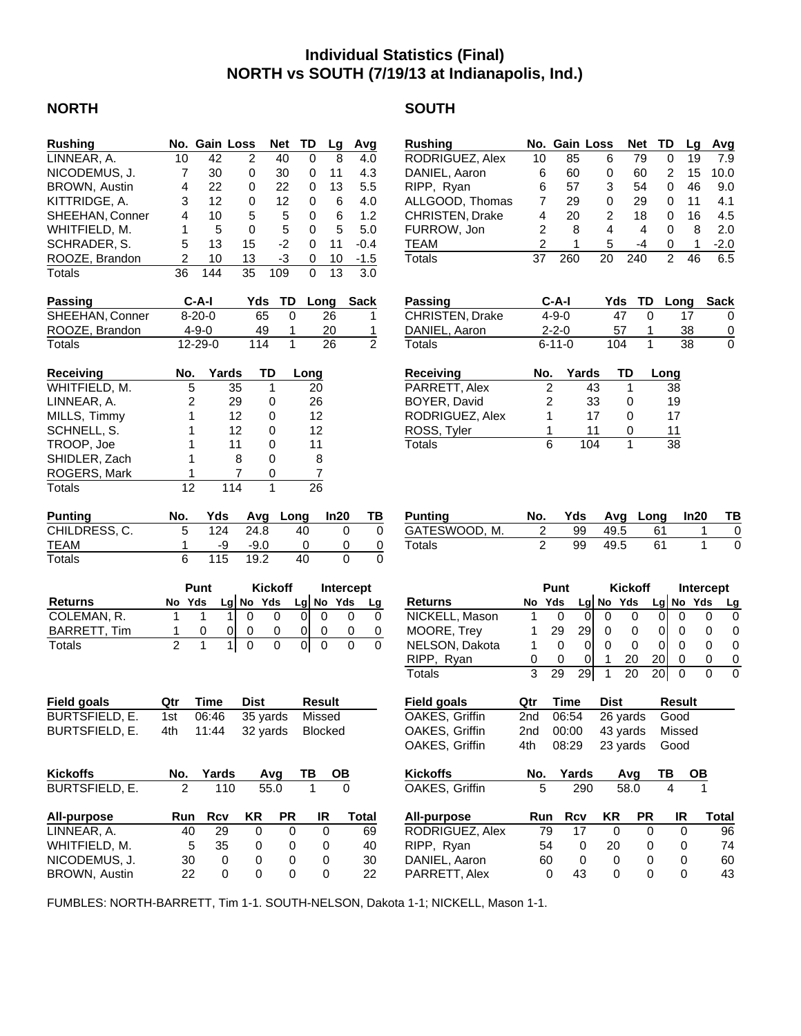## **Individual Statistics (Final) NORTH vs SOUTH (7/19/13 at Indianapolis, Ind.)**

#### **NORTH** SOUTH

| <b>Rushing</b>        |                | No. Gain Loss |             | <b>Net</b>     | TD             | Lg        | Avg            |
|-----------------------|----------------|---------------|-------------|----------------|----------------|-----------|----------------|
| LINNEAR, A.           | 10             | 42            | 2           | 40             | 0              | 8         | 4.0            |
| NICODEMUS, J.         | 7              | 30            | 0           | 30             | 0              | 11        | 4.3            |
| BROWN, Austin         | 4              | 22            | 0           | 22             | 0              | 13        | 5.5            |
| KITTRIDGE, A.         | 3              | 12            | 0           | 12             | 0              | 6         | 4.0            |
| SHEEHAN, Conner       | 4              | 10            | 5           | 5              | 0              | 6         | 1.2            |
| WHITFIELD, M.         | 1              | 5             | 0           | 5              | 0              | 5         | 5.0            |
|                       |                |               |             |                |                |           |                |
| SCHRADER, S.          | 5              | 13            | 15          | $-2$           | 0              | 11        | $-0.4$         |
| ROOZE, Brandon        | 2              | 10            | 13          | -3             | 0              | 10        | $-1.5$         |
| Totals                | 36             | 144           | 35          | 109            | 0              | 13        | 3.0            |
| Passing               |                | C-A-I         | Yds         | TD             | Long           |           | <b>Sack</b>    |
| SHEEHAN, Conner       |                | $8 - 20 - 0$  | 65          | 0              |                | 26        | 1              |
| ROOZE, Brandon        |                | $4 - 9 - 0$   | 49          | 1              |                | 20        | 1              |
| Totals                |                | 12-29-0       | 114         | 1              |                | 26        | $\overline{2}$ |
| <b>Receiving</b>      | No.            | Yards         |             | TD             | Long           |           |                |
| WHITFIELD, M.         | 5              |               | 35          | 1              | 20             |           |                |
|                       |                |               |             |                |                |           |                |
| LINNEAR, A.           | 2              |               | 29          | 0              | 26             |           |                |
| MILLS, Timmy          | 1              |               | 12          | 0              | 12             |           |                |
| SCHNELL, S.           | 1              |               | 12          | 0              | 12             |           |                |
| TROOP, Joe            | 1              |               | 11          | 0              | 11             |           |                |
| SHIDLER, Zach         | 1              |               | 8           | 0              | 8              |           |                |
| ROGERS, Mark          | 1              |               | 7           | 0              | $\overline{7}$ |           |                |
| Totals                | 12             |               | 114         | 1              | 26             |           |                |
| <b>Punting</b>        | No.            | Yds           | Avg         | Long           |                | In20      | ТВ             |
| CHILDRESS, C.         | 5              | 124           | 24.8        |                | 40             | 0         | 0              |
| TEAM                  | 1              | -9            | $-9.0$      |                | 0              | 0         | 0              |
| Totals                | 6              | 115           | 19.2        |                | 40             | 0         | 0              |
|                       |                | Punt          |             | <b>Kickoff</b> |                | Intercept |                |
| <b>Returns</b>        | No Yds         |               | Lg No Yds   |                | $Lg$ No        | Yds       | Lg             |
| COLEMAN, R.           | 1              | 1<br>1        | 0           | 0              | 0              | 0         | 0<br>0         |
| <b>BARRETT, Tim</b>   | 1              | 0<br>0        | 0           | 0              | 0              | 0         | 0<br>0         |
| Totals                | $\overline{2}$ | 1<br>1        | 0           | 0              | 01             | 0         | 0<br>0         |
|                       |                |               |             |                |                |           |                |
|                       |                |               |             |                |                |           |                |
| <b>Field goals</b>    | Qtr            | Time          | <b>Dist</b> |                | <b>Result</b>  |           |                |
| <b>BURTSFIELD, E.</b> | 1st            | 06:46         |             | 35 yards       |                | Missed    |                |
| <b>BURTSFIELD, E.</b> | 4th            | 11:44         |             | 32 yards       |                | Blocked   |                |
|                       |                |               |             |                |                |           |                |
| <b>Kickoffs</b>       | No.            | Yards         |             | Avq            | ΤВ             |           |                |
| BURTSFIELD, E.        | 2              | 110           |             | 55.0           | 1              |           |                |
| All-purpose           | Run            | <b>Rcv</b>    | KR          | PR             |                | IR        | Total          |
| LINNEAR, A.           | 40             | 29            | 0           | 0              |                | 0         | 69             |
| WHITFIELD, M.         | 5              | 35            | 0           | 0              |                | 0         | 40             |
| NICODEMUS, J.         | 30             | 0             | 0           | 0              |                | 0         | 30             |
| BROWN, Austin         | 22             | 0             | 0           | 0              |                | 0         | 22             |
|                       |                |               |             |                |                |           |                |

| <b>Rushing</b>                            | No.                        | <b>Gain Loss</b> |                 |                     | <b>Net</b>     | TD               |                | Lg             | Avg                 |
|-------------------------------------------|----------------------------|------------------|-----------------|---------------------|----------------|------------------|----------------|----------------|---------------------|
| RODRIGUEZ, Alex                           | 10                         | 85               |                 | 6                   | 79             |                  | 0              | 19             | 7.9                 |
| DANIEL, Aaron                             | 6                          | 60               |                 | 0                   | 60             |                  | 2              | 15             | 10.0                |
| RIPP, Ryan                                | 6                          |                  | 57              | 3                   | 54             |                  | 0              | 46             | 9.0                 |
| ALLGOOD, Thomas                           | 7                          | 29               |                 | 0                   | 29             |                  | 0              | 11             | 4.1                 |
| CHRISTEN, Drake                           | 4                          | 20               |                 | 2                   | 18             |                  | 0              | 16             | 4.5                 |
| FURROW, Jon                               | $\overline{c}$             |                  | 8               | 4                   | 4              |                  | 0              | 8              | 2.0                 |
| <b>TEAM</b>                               | $\overline{c}$             |                  | 1               | 5                   | -4             |                  | 0              | 1              | $-2.0$              |
| Totals                                    | 37                         | 260              |                 | 20                  | 240            |                  | $\overline{2}$ | 46             | 6.5                 |
|                                           |                            |                  |                 |                     |                |                  |                |                |                     |
| Passing                                   |                            | $C-A-I$          |                 | Yds                 |                | TD               | Long           |                | Sack                |
| <b>CHRISTEN, Drake</b>                    |                            | $4 - 9 - 0$      |                 |                     | 47             | 0                |                | 17             | 0                   |
| DANIEL, Aaron                             |                            | $2 - 2 - 0$      |                 |                     | 57             | 1                |                | 38             | $\overline{0}$      |
| Totals                                    |                            | $6 - 11 - 0$     |                 | 104                 |                | 1                |                | 38             | 0                   |
| Receiving                                 | No.                        |                  | Yards           |                     | TD             |                  | Long           |                |                     |
| PARRETT, Alex                             |                            | 2                | 43              |                     | 1              |                  | 38             |                |                     |
| BOYER, David                              |                            | 2                | 33              |                     | 0              |                  | 19             |                |                     |
| RODRIGUEZ, Alex                           |                            | 1                |                 | 17                  | 0              |                  | 17             |                |                     |
| ROSS, Tyler                               |                            | 1                | 11              |                     | 0              |                  | 11             |                |                     |
| Totals                                    |                            | $\overline{6}$   | 104             |                     | 1              |                  | 38             |                |                     |
|                                           |                            |                  |                 |                     |                |                  |                |                |                     |
| <b>Punting</b><br>GATESWOOD, M.<br>Totals | No.<br>2<br>$\overline{2}$ |                  | Yds<br>99<br>99 | Avg<br>49.5<br>49.5 |                | Long<br>61<br>61 |                | In20<br>1<br>1 | ΤВ<br>0<br>$\Omega$ |
|                                           |                            |                  |                 |                     |                |                  |                |                |                     |
|                                           |                            | Punt             |                 |                     | <b>Kickoff</b> |                  |                |                | Intercept           |
| <b>Returns</b>                            | No                         | Yds              |                 | Lg No Yds           |                |                  | Lg No Yds      |                | <b>Lg</b>           |
| NICKELL, Mason                            | 1                          | 0                | 0               | 0                   | 0              | 0                | 0              |                | 0<br>0              |
| MOORE, Trey                               | 1                          | 29               | 29              | 0                   | 0              | 0                | 0              |                | 0<br>0              |
| NELSON, Dakota                            | 1                          | 0                | 0               | 0                   | 0              | 0                | 0              |                | 0<br>0              |
| RIPP, Ryan                                | 0                          | 0                | 0               | 1                   | 20             | 20               | 0              |                | 0<br>$\overline{0}$ |
| <b>Totals</b>                             | 3                          | 29               | 29              | 1                   | 20             | 20 <sub>l</sub>  | 0              |                | 0<br>0              |
| <b>Field goals</b>                        | Qtr                        | <b>Time</b>      |                 | <b>Dist</b>         |                |                  | <b>Result</b>  |                |                     |
| OAKES, Griffin                            | 2nd                        | 06:54            |                 |                     | 26 yards       |                  | Good           |                |                     |
| OAKES, Griffin                            | 2nd                        | 00:00            |                 |                     | 43 yards       |                  | Missed         |                |                     |
| OAKES, Griffin                            | 4th                        | 08:29            |                 |                     | 23 yards       |                  | Good           |                |                     |
| <b>Kickoffs</b>                           | No.                        |                  | Yards           |                     | Avg            | TВ               |                | OВ             |                     |
| OAKES, Griffin                            | 5                          |                  | 290             |                     | 58.0           |                  | 4              |                |                     |
| All-purpose                               | Run                        |                  | Rcv             | ΚR                  |                | PR               | IR             |                | <b>Total</b>        |
| RODRIGUEZ, Alex                           | 79                         |                  | 17              | 0                   |                | 0                | 0              |                | 96                  |
| RIPP, Ryan<br>DANIEL, Aaron               |                            | 54               | 0               | 20                  |                | 0                | 0              |                | 74                  |

PARRETT, Alex 0 43 0 0 0 43

FUMBLES: NORTH-BARRETT, Tim 1-1. SOUTH-NELSON, Dakota 1-1; NICKELL, Mason 1-1.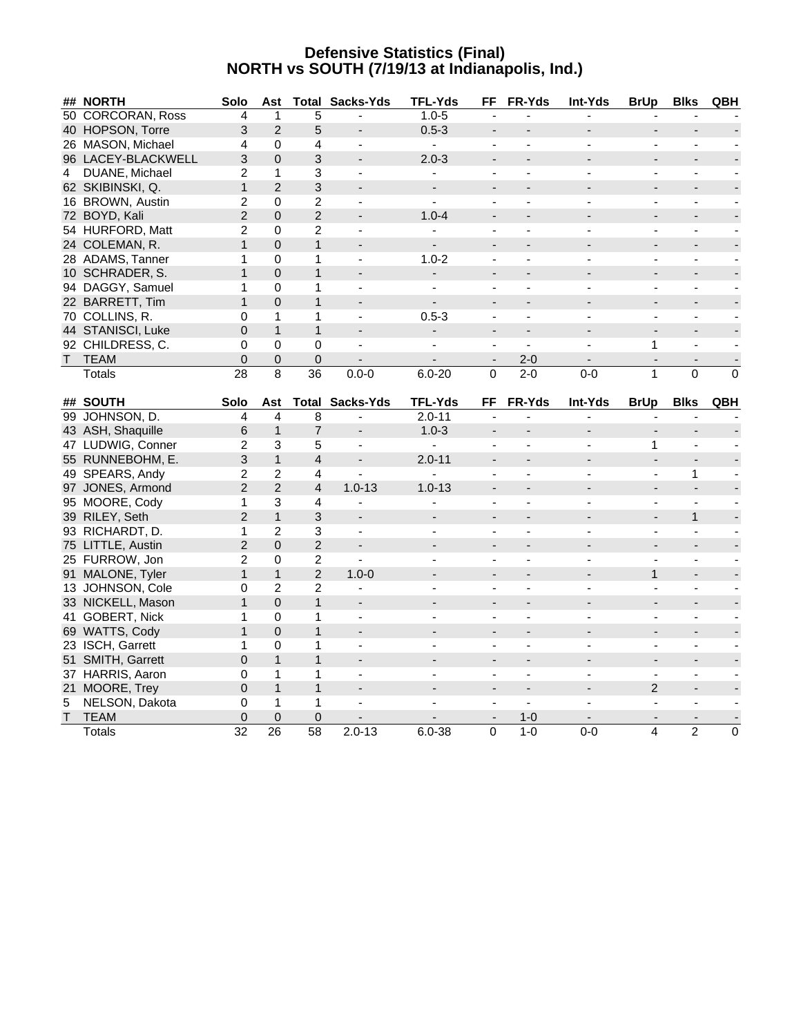#### **Defensive Statistics (Final) NORTH vs SOUTH (7/19/13 at Indianapolis, Ind.)**

|    | ## NORTH                | Solo              | Ast                  |                      | <b>Total Sacks-Yds</b>                   | <b>TFL-Yds</b>           | FF                       | <b>FR-Yds</b>            | Int-Yds        | <b>BrUp</b>              | <b>Blks</b>                 | QBH            |
|----|-------------------------|-------------------|----------------------|----------------------|------------------------------------------|--------------------------|--------------------------|--------------------------|----------------|--------------------------|-----------------------------|----------------|
|    | 50 CORCORAN, Ross       | 4                 | $\mathbf{1}$         | 5                    |                                          | $1.0 - 5$                |                          |                          |                |                          |                             |                |
|    | 40 HOPSON, Torre        | 3                 | 2                    | 5                    |                                          | $0.5 - 3$                |                          |                          |                |                          |                             |                |
|    | 26 MASON, Michael       | $\overline{4}$    | $\mathbf 0$          | 4                    |                                          | $\blacksquare$           |                          |                          |                |                          |                             |                |
|    | 96 LACEY-BLACKWELL      | 3                 | $\mathbf{0}$         | 3                    |                                          | $2.0 - 3$                | $\overline{\phantom{a}}$ |                          |                |                          |                             |                |
| 4  | DUANE, Michael          | $\overline{2}$    | 1                    | 3                    | $\blacksquare$                           | L,                       | ÷,                       | ä,                       | $\blacksquare$ | $\blacksquare$           | $\blacksquare$              |                |
|    | 62 SKIBINSKI, Q.        | $\mathbf{1}$      | 2                    | 3                    |                                          | $\blacksquare$           | $\blacksquare$           |                          |                |                          |                             |                |
|    | 16 BROWN, Austin        | $\overline{c}$    | $\mathbf 0$          | $\overline{c}$       | $\overline{\phantom{a}}$                 | $\blacksquare$           | $\blacksquare$           |                          |                | $\blacksquare$           | $\overline{\phantom{a}}$    |                |
|    | 72 BOYD, Kali           | $\overline{2}$    | $\overline{0}$       | $\overline{c}$       |                                          | $1.0 - 4$                | $\overline{\phantom{a}}$ |                          |                |                          |                             |                |
|    | 54 HURFORD, Matt        | $\overline{2}$    | $\Omega$             | $\overline{2}$       |                                          |                          |                          |                          |                |                          |                             |                |
|    | 24 COLEMAN, R.          | $\mathbf{1}$      | $\Omega$             | $\mathbf{1}$         |                                          |                          |                          |                          |                |                          |                             |                |
|    | 28 ADAMS, Tanner        | 1                 | 0                    | $\mathbf{1}$         | $\blacksquare$                           | $1.0 - 2$                | $\blacksquare$           | $\overline{\phantom{a}}$ | $\blacksquare$ | $\blacksquare$           | $\blacksquare$              |                |
|    | 10 SCHRADER, S.         | $\mathbf{1}$      | $\mathbf{0}$         | $\mathbf{1}$         |                                          |                          |                          |                          |                |                          |                             |                |
|    | 94 DAGGY, Samuel        | $\mathbf{1}$      | $\Omega$             | $\mathbf{1}$         |                                          |                          |                          |                          |                |                          | $\blacksquare$              |                |
|    | 22 BARRETT, Tim         | $\mathbf{1}$      | $\Omega$             | $\mathbf{1}$         |                                          |                          |                          |                          |                |                          |                             |                |
|    | 70 COLLINS, R.          | 0                 | $\mathbf{1}$         | 1                    | ÷,                                       | $0.5 - 3$                |                          |                          | $\blacksquare$ | $\overline{a}$           | $\sim$                      |                |
|    | 44 STANISCI, Luke       | $\overline{0}$    | $\mathbf{1}$         | $\mathbf{1}$         |                                          |                          | $\overline{a}$           |                          |                |                          |                             |                |
|    | 92 CHILDRESS, C.        | $\Omega$          | $\Omega$             | $\Omega$             | $\blacksquare$                           | $\blacksquare$           | $\blacksquare$           | $\blacksquare$           |                | 1                        | $\blacksquare$              |                |
| T. | <b>TEAM</b>             | $\mathbf 0$       | $\boldsymbol{0}$     | $\mathbf 0$          |                                          |                          | $\overline{\phantom{a}}$ | $2 - 0$                  |                | $\overline{\phantom{a}}$ |                             |                |
|    | <b>Totals</b>           | 28                | 8                    | $\overline{36}$      | $0.0 - 0$                                | $6.0 - 20$               | $\Omega$                 | $2 - 0$                  | $0 - 0$        | $\mathbf{1}$             | $\Omega$                    | $\overline{0}$ |
|    | ## SOUTH                | Solo              | Ast                  |                      |                                          | <b>TFL-Yds</b>           | FF                       | <b>FR-Yds</b>            | Int-Yds        | <b>BrUp</b>              |                             |                |
|    |                         |                   |                      | 8                    | <b>Total Sacks-Yds</b><br>$\blacksquare$ | $2.0 - 11$               | ä,                       |                          |                | $\overline{a}$           | <b>Blks</b><br>$\mathbf{r}$ | QBH            |
|    |                         |                   |                      |                      |                                          |                          |                          |                          |                |                          |                             |                |
|    | 99 JOHNSON, D.          | $\overline{4}$    | $\overline{4}$       |                      |                                          |                          |                          |                          |                |                          |                             |                |
|    | 43 ASH, Shaquille       | 6                 | $\mathbf{1}$         | $\overline{7}$       | $\overline{\phantom{a}}$                 | $1.0 - 3$                | $\overline{\phantom{a}}$ |                          |                |                          | $\overline{\phantom{a}}$    |                |
|    | 47 LUDWIG, Conner       | $\overline{c}$    | 3                    | 5                    | $\blacksquare$                           |                          | $\blacksquare$           |                          |                | 1                        | $\sim$                      |                |
|    | 55 RUNNEBOHM, E.        | 3                 | $\mathbf{1}$         | $\overline{4}$       |                                          | $2.0 - 11$               | $\blacksquare$           |                          |                |                          |                             |                |
|    | 49 SPEARS, Andy         | $\overline{c}$    | $\overline{2}$       | 4                    |                                          |                          |                          |                          |                |                          | 1                           |                |
|    | 97 JONES, Armond        | $\overline{2}$    | 2                    | $\overline{4}$       | $1.0 - 13$                               | $1.0 - 13$               | $\overline{\phantom{a}}$ |                          |                |                          | $\overline{\phantom{a}}$    |                |
|    | 95 MOORE, Cody          | 1                 | 3                    | 4                    | $\overline{a}$                           |                          | $\blacksquare$           | ÷.                       | $\overline{a}$ | $\blacksquare$           | $\mathbf{r}$                |                |
|    | 39 RILEY, Seth          | $\overline{2}$    | $\mathbf{1}$         | 3                    |                                          |                          |                          |                          |                |                          | $\mathbf{1}$                |                |
|    | 93 RICHARDT, D.         | $\mathbf{1}$      | $\overline{2}$       | 3                    | $\blacksquare$                           |                          |                          |                          |                | $\overline{\phantom{a}}$ | $\overline{\phantom{a}}$    |                |
|    | 75 LITTLE, Austin       | $\overline{2}$    | $\mathbf{0}$         | $\overline{c}$       |                                          |                          | $\overline{\phantom{a}}$ |                          |                |                          |                             |                |
|    | 25 FURROW, Jon          | 2                 | $\mathbf 0$          | $\overline{c}$       |                                          |                          |                          |                          |                |                          | $\overline{a}$              |                |
|    | 91 MALONE, Tyler        | $\mathbf{1}$      | $\mathbf{1}$         | $\overline{c}$       | $1.0 - 0$                                |                          | $\blacksquare$           |                          |                | $\mathbf{1}$             | $\overline{\phantom{a}}$    |                |
|    | 13 JOHNSON, Cole        | 0                 | $\overline{c}$       | $\overline{c}$       | $\blacksquare$                           | $\blacksquare$           | $\blacksquare$           | $\frac{1}{2}$            | $\overline{a}$ | $\blacksquare$           | $\blacksquare$              | $\blacksquare$ |
|    | 33 NICKELL, Mason       | $\mathbf{1}$      | $\mathbf 0$          | $\mathbf{1}$         |                                          |                          |                          |                          |                |                          |                             |                |
|    | 41 GOBERT, Nick         | $\mathbf{1}$      | $\mathbf 0$          | 1                    | $\blacksquare$                           |                          |                          |                          |                | $\blacksquare$           | $\blacksquare$              |                |
|    | 69 WATTS, Cody          | $\mathbf{1}$      | $\overline{0}$       | $\mathbf{1}$         |                                          |                          |                          |                          |                |                          |                             |                |
|    | 23 ISCH, Garrett        | 1                 | $\Omega$             | 1                    | $\blacksquare$                           |                          |                          |                          | $\blacksquare$ | $\overline{a}$           | $\blacksquare$              |                |
|    | 51 SMITH, Garrett       | 0                 | $\mathbf{1}$         | $\mathbf{1}$         |                                          |                          | $\blacksquare$           |                          |                |                          | $\overline{\phantom{a}}$    |                |
|    | 37 HARRIS, Aaron        | 0                 | 1                    | 1                    | $\overline{\phantom{a}}$                 | $\overline{\phantom{a}}$ | $\blacksquare$           | $\frac{1}{2}$            | $\blacksquare$ | $\blacksquare$           | $\overline{\phantom{a}}$    |                |
|    | 21 MOORE, Trey          | 0                 | $\mathbf{1}$         | $\mathbf{1}$         |                                          |                          |                          |                          |                | $\overline{2}$           | $\blacksquare$              |                |
| 5  | NELSON, Dakota          | 0                 | 1                    | $\mathbf{1}$         |                                          |                          |                          |                          |                |                          | $\blacksquare$              |                |
|    | T TEAM<br><b>Totals</b> | $\mathbf 0$<br>32 | $\overline{0}$<br>26 | $\overline{0}$<br>58 | $2.0 - 13$                               | $6.0 - 38$               | 0                        | $1 - 0$<br>$1-0$         | $0-0$          | 4                        | $\overline{2}$              | $\mathbf 0$    |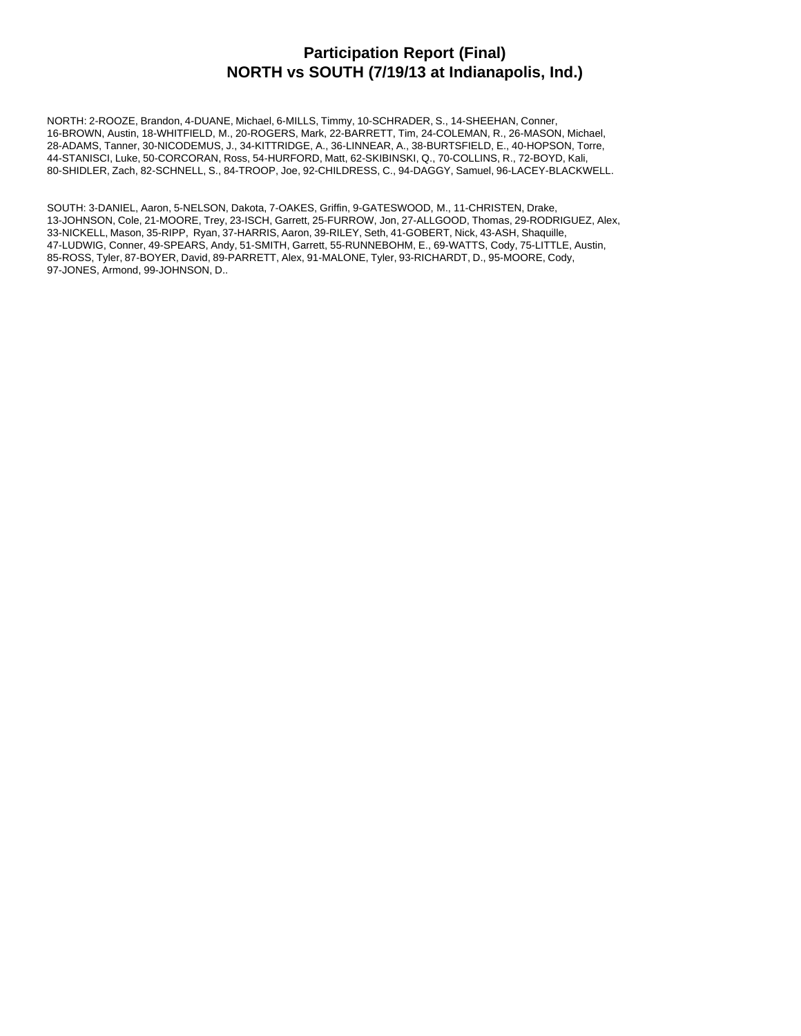#### **Participation Report (Final) NORTH vs SOUTH (7/19/13 at Indianapolis, Ind.)**

NORTH: 2-ROOZE, Brandon, 4-DUANE, Michael, 6-MILLS, Timmy, 10-SCHRADER, S., 14-SHEEHAN, Conner, 16-BROWN, Austin, 18-WHITFIELD, M., 20-ROGERS, Mark, 22-BARRETT, Tim, 24-COLEMAN, R., 26-MASON, Michael, 28-ADAMS, Tanner, 30-NICODEMUS, J., 34-KITTRIDGE, A., 36-LINNEAR, A., 38-BURTSFIELD, E., 40-HOPSON, Torre, 44-STANISCI, Luke, 50-CORCORAN, Ross, 54-HURFORD, Matt, 62-SKIBINSKI, Q., 70-COLLINS, R., 72-BOYD, Kali, 80-SHIDLER, Zach, 82-SCHNELL, S., 84-TROOP, Joe, 92-CHILDRESS, C., 94-DAGGY, Samuel, 96-LACEY-BLACKWELL.

SOUTH: 3-DANIEL, Aaron, 5-NELSON, Dakota, 7-OAKES, Griffin, 9-GATESWOOD, M., 11-CHRISTEN, Drake, 13-JOHNSON, Cole, 21-MOORE, Trey, 23-ISCH, Garrett, 25-FURROW, Jon, 27-ALLGOOD, Thomas, 29-RODRIGUEZ, Alex, 33-NICKELL, Mason, 35-RIPP, Ryan, 37-HARRIS, Aaron, 39-RILEY, Seth, 41-GOBERT, Nick, 43-ASH, Shaquille, 47-LUDWIG, Conner, 49-SPEARS, Andy, 51-SMITH, Garrett, 55-RUNNEBOHM, E., 69-WATTS, Cody, 75-LITTLE, Austin, 85-ROSS, Tyler, 87-BOYER, David, 89-PARRETT, Alex, 91-MALONE, Tyler, 93-RICHARDT, D., 95-MOORE, Cody, 97-JONES, Armond, 99-JOHNSON, D..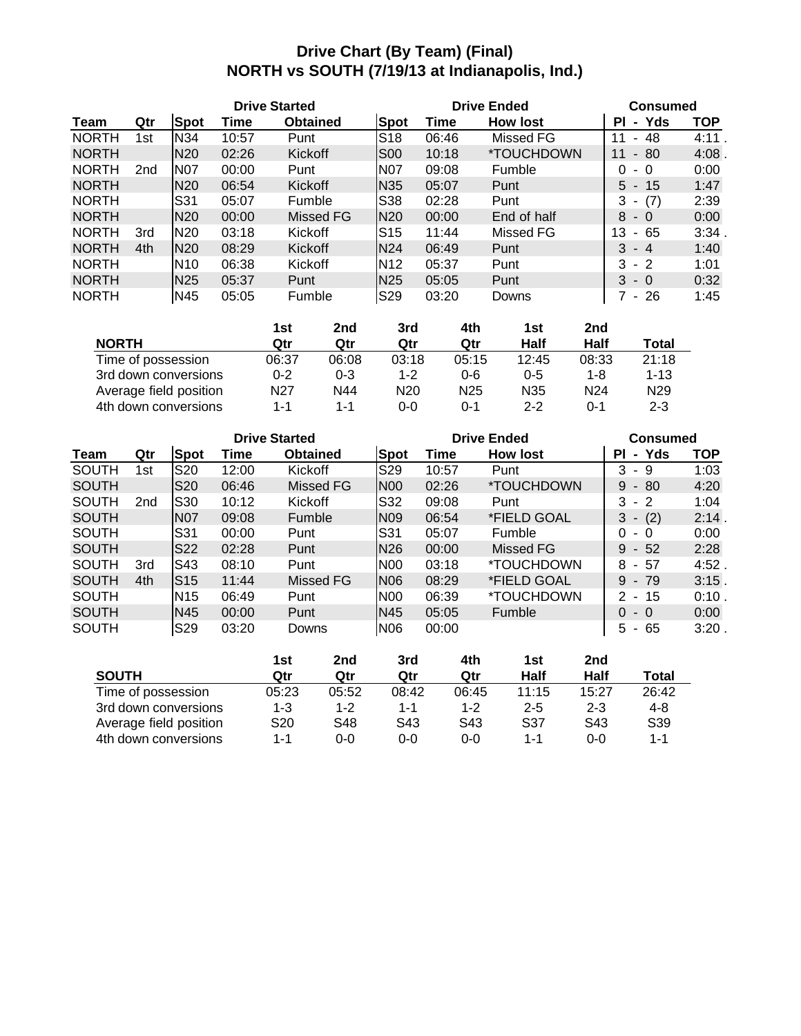# **Drive Chart (By Team) (Final) NORTH vs SOUTH (7/19/13 at Indianapolis, Ind.)**

|              |                 |                 | <b>Drive Started</b> |                 |                 |       | <b>Drive Ended</b>       | <b>Consumed</b>     |            |  |
|--------------|-----------------|-----------------|----------------------|-----------------|-----------------|-------|--------------------------|---------------------|------------|--|
| Team         | Qtr             | <b>Spot</b>     | Time                 | <b>Obtained</b> | <b>Spot</b>     | Time  | <b>How lost</b>          | - Yds<br>ΡI         | <b>TOP</b> |  |
| <b>NORTH</b> | 1st             | N34             | 10:57                | Punt            | S <sub>18</sub> | 06:46 | Missed FG                | 48<br>11<br>$\sim$  | 4:11       |  |
| <b>NORTH</b> |                 | N <sub>20</sub> | 02:26                | <b>Kickoff</b>  | S <sub>00</sub> | 10:18 | <i><b>*TOUCHDOWN</b></i> | $-80$<br>11         | 4:08       |  |
| <b>NORTH</b> | 2 <sub>nd</sub> | <b>N07</b>      | 00:00                | Punt            | N <sub>07</sub> | 09:08 | Fumble                   | 0<br>- 0            | 0:00       |  |
| <b>NORTH</b> |                 | N <sub>20</sub> | 06:54                | <b>Kickoff</b>  | N <sub>35</sub> | 05:07 | Punt                     | $5 - 15$            | 1:47       |  |
| <b>NORTH</b> |                 | <b>S31</b>      | 05:07                | Fumble          | S38             | 02:28 | Punt                     | (7)<br>3<br>٠       | 2:39       |  |
| <b>NORTH</b> |                 | N <sub>20</sub> | 00:00                | Missed FG       | <b>N20</b>      | 00:00 | End of half              | 8<br>$-0$           | 0:00       |  |
| <b>NORTH</b> | 3rd             | N <sub>20</sub> | 03:18                | Kickoff         | S <sub>15</sub> | 11:44 | Missed FG                | 13<br>-65<br>$\sim$ | 3:34       |  |
| <b>NORTH</b> | 4th             | <b>N20</b>      | 08:29                | <b>Kickoff</b>  | N <sub>24</sub> | 06:49 | Punt                     | $3 - 4$             | 1:40       |  |
| <b>NORTH</b> |                 | N <sub>10</sub> | 06:38                | Kickoff         | N <sub>12</sub> | 05:37 | Punt                     | $3 - 2$             | 1:01       |  |
| <b>NORTH</b> |                 | N <sub>25</sub> | 05:37                | Punt            | N <sub>25</sub> | 05:05 | Punt                     | $3 - 0$             | 0:32       |  |
| <b>NORTH</b> |                 | N45             | 05:05                | Fumble          | S <sub>29</sub> | 03:20 | Downs                    | 7 - 26              | 1:45       |  |

|                        | 1st     | 2nd     | 3rd             | 4th             | 1st             | 2nd             |                 |
|------------------------|---------|---------|-----------------|-----------------|-----------------|-----------------|-----------------|
| <b>NORTH</b>           | Qtr     | Qtr     | Qtr             | Qtr             | Half            | Half            | Total           |
| Time of possession     | 06:37   | 06:08   | 03:18           | 05:15           | 12:45           | 08:33           | 21:18           |
| 3rd down conversions   | $0 - 2$ | $0 - 3$ | $1 - 2$         | $0 - 6$         | $0 - 5$         | 1-8             | $1 - 13$        |
| Average field position | N27     | N44     | N <sub>20</sub> | N <sub>25</sub> | N <sub>35</sub> | N <sub>24</sub> | N <sub>29</sub> |
| 4th down conversions   | 1-1     | $1 - 1$ | 0-0             | $0 - 1$         | $2 - 2$         | $0 - 1$         | $2 - 3$         |

|              |     |                 |       | <b>Drive Started</b> |                 |       | <b>Drive Ended</b>       | <b>Consumed</b>    |             |  |
|--------------|-----|-----------------|-------|----------------------|-----------------|-------|--------------------------|--------------------|-------------|--|
| Team         | Qtr | <b>Spot</b>     | Time  | <b>Obtained</b>      | <b>Spot</b>     | Time  | <b>How lost</b>          | - Yds<br>ΡI        | TOP         |  |
| <b>SOUTH</b> | 1st | S20             | 12:00 | Kickoff              | S29             | 10:57 | Punt                     | 3<br>-9            | 1:03        |  |
| <b>SOUTH</b> |     | <b>S20</b>      | 06:46 | Missed FG            | <b>N00</b>      | 02:26 | *TOUCHDOWN               | 9<br>$-80$         | 4:20        |  |
| <b>SOUTH</b> | 2nd | <b>S30</b>      | 10:12 | Kickoff              | S32             | 09:08 | Punt                     | 3<br>$-2$          | 1:04        |  |
| <b>SOUTH</b> |     | <b>N07</b>      | 09:08 | Fumble               | N <sub>09</sub> | 06:54 | *FIELD GOAL              | 3<br>(2)<br>$\sim$ | 2:14.       |  |
| <b>SOUTH</b> |     | S31             | 00:00 | Punt                 | S31             | 05:07 | Fumble                   | 0<br>- 0           | 0:00        |  |
| <b>SOUTH</b> |     | <b>S22</b>      | 02:28 | Punt                 | N <sub>26</sub> | 00:00 | Missed FG                | 9<br>$-52$         | 2:28        |  |
| <b>SOUTH</b> | 3rd | <b>S43</b>      | 08:10 | Punt                 | <b>N00</b>      | 03:18 | <i><b>*TOUCHDOWN</b></i> | 8<br>- 57          | 4:52        |  |
| <b>SOUTH</b> | 4th | <b>S15</b>      | 11:44 | Missed FG            | N <sub>06</sub> | 08:29 | *FIELD GOAL              | $9 - 79$           | 3:15.       |  |
| <b>SOUTH</b> |     | N <sub>15</sub> | 06:49 | Punt                 | N <sub>00</sub> | 06:39 | <i><b>*TOUCHDOWN</b></i> | 2<br>- 15          | $0:10^{-7}$ |  |
| <b>SOUTH</b> |     | N45             | 00:00 | Punt                 | N45             | 05:05 | Fumble                   | $\Omega$<br>- 0    | 0:00        |  |
| <b>SOUTH</b> |     | S <sub>29</sub> | 03:20 | Downs                | <b>N06</b>      | 00:00 |                          | 5<br>65<br>$\sim$  | 3:20        |  |

|                        | 1st             | 2nd     | 3rd     | 4th     | 1st     | 2nd     |                 |
|------------------------|-----------------|---------|---------|---------|---------|---------|-----------------|
| <b>SOUTH</b>           | Qtr             | Qtr     | Qtr     | Qtr     | Half    | Half    | Total           |
| Time of possession     | 05:23           | 05:52   | 08:42   | 06:45   | 11:15   | 15:27   | 26:42           |
| 3rd down conversions   | $1 - 3$         | $1 - 2$ | $1 - 1$ | $1 - 2$ | $2 - 5$ | $2 - 3$ | $4 - 8$         |
| Average field position | S <sub>20</sub> | S48     | S43     | S43     | S37     | S43     | S <sub>39</sub> |
| 4th down conversions   | 1-1             | 0-0     | 0-0     | $0 - 0$ | 1-1     | $0 - 0$ | $1 - 1$         |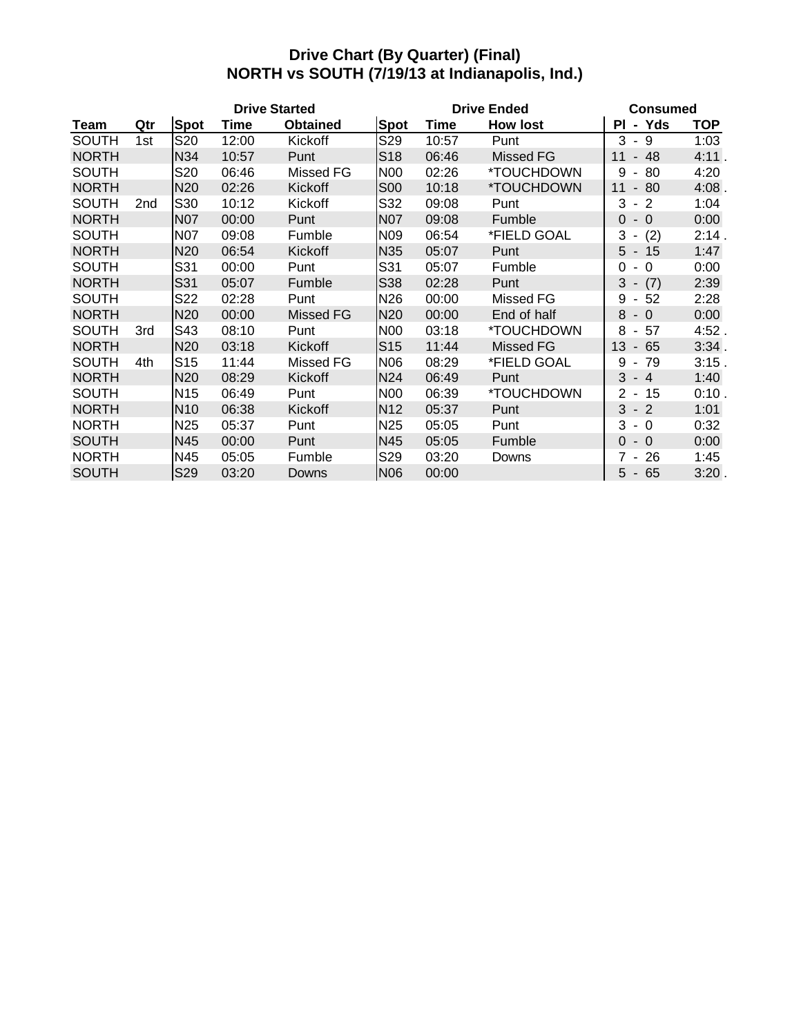#### **Drive Chart (By Quarter) (Final) NORTH vs SOUTH (7/19/13 at Indianapolis, Ind.)**

| <b>Drive Started</b> |     |                 |       |                 |                 |       | <b>Drive Ended</b> | <b>Consumed</b>                           |            |  |
|----------------------|-----|-----------------|-------|-----------------|-----------------|-------|--------------------|-------------------------------------------|------------|--|
| Team                 | Qtr | <b>Spot</b>     | Time  | <b>Obtained</b> | <b>Spot</b>     | Time  | <b>How lost</b>    | Yds<br>PI<br>$\blacksquare$               | <b>TOP</b> |  |
| <b>SOUTH</b>         | 1st | S20             | 12:00 | Kickoff         | S29             | 10:57 | Punt               | 3<br>- 9                                  | 1:03       |  |
| <b>NORTH</b>         |     | N34             | 10:57 | Punt            | S <sub>18</sub> | 06:46 | <b>Missed FG</b>   | 48<br>11<br>$\overline{\phantom{a}}$      | 4:11.      |  |
| <b>SOUTH</b>         |     | S20             | 06:46 | Missed FG       | <b>N00</b>      | 02:26 | *TOUCHDOWN         | 80<br>9<br>$\blacksquare$                 | 4:20       |  |
| <b>NORTH</b>         |     | N20             | 02:26 | Kickoff         | <b>S00</b>      | 10:18 | *TOUCHDOWN         | 80<br>11<br>$\blacksquare$                | 4:08.      |  |
| <b>SOUTH</b>         | 2nd | S30             | 10:12 | Kickoff         | S32             | 09:08 | Punt               | 3<br>$\overline{2}$<br>$\blacksquare$     | 1:04       |  |
| <b>NORTH</b>         |     | <b>N07</b>      | 00:00 | Punt            | <b>N07</b>      | 09:08 | Fumble             | $-0$<br>$\overline{0}$                    | 0:00       |  |
| <b>SOUTH</b>         |     | N07             | 09:08 | Fumble          | N <sub>09</sub> | 06:54 | *FIELD GOAL        | 3<br>(2)<br>٠                             | 2:14.      |  |
| <b>NORTH</b>         |     | N <sub>20</sub> | 06:54 | Kickoff         | <b>N35</b>      | 05:07 | Punt               | $5 - 15$                                  | 1:47       |  |
| <b>SOUTH</b>         |     | S31             | 00:00 | Punt            | S31             | 05:07 | Fumble             | 0<br>$\Omega$<br>$\overline{\phantom{a}}$ | 0:00       |  |
| <b>NORTH</b>         |     | S31             | 05:07 | Fumble          | S38             | 02:28 | Punt               | $3 -$<br>(7)                              | 2:39       |  |
| <b>SOUTH</b>         |     | S22             | 02:28 | Punt            | N26             | 00:00 | Missed FG          | 9<br>52<br>$\blacksquare$                 | 2:28       |  |
| <b>NORTH</b>         |     | N <sub>20</sub> | 00:00 | Missed FG       | N <sub>20</sub> | 00:00 | End of half        | 8<br>$\overline{0}$<br>$\sim$             | 0:00       |  |
| <b>SOUTH</b>         | 3rd | S43             | 08:10 | Punt            | <b>N00</b>      | 03:18 | *TOUCHDOWN         | 8<br>57<br>$\sim$                         | 4:52.      |  |
| <b>NORTH</b>         |     | N20             | 03:18 | Kickoff         | S <sub>15</sub> | 11:44 | <b>Missed FG</b>   | 13<br>65<br>$\overline{\phantom{a}}$      | 3:34.      |  |
| <b>SOUTH</b>         | 4th | S <sub>15</sub> | 11:44 | Missed FG       | N06             | 08:29 | *FIELD GOAL        | 79<br>9<br>$\blacksquare$                 | $3:15$ .   |  |
| <b>NORTH</b>         |     | N <sub>20</sub> | 08:29 | Kickoff         | <b>N24</b>      | 06:49 | Punt               | 3<br>$-4$                                 | 1:40       |  |
| <b>SOUTH</b>         |     | N <sub>15</sub> | 06:49 | Punt            | <b>N00</b>      | 06:39 | *TOUCHDOWN         | 2 -<br>15                                 | 0:10.      |  |
| <b>NORTH</b>         |     | N <sub>10</sub> | 06:38 | Kickoff         | N <sub>12</sub> | 05:37 | Punt               | 3<br>$-2$                                 | 1:01       |  |
| <b>NORTH</b>         |     | N <sub>25</sub> | 05:37 | Punt            | N <sub>25</sub> | 05:05 | Punt               | 3<br>$-0$                                 | 0:32       |  |
| <b>SOUTH</b>         |     | N45             | 00:00 | Punt            | N45             | 05:05 | Fumble             | $\Omega$<br>$-0$                          | 0:00       |  |
| <b>NORTH</b>         |     | N45             | 05:05 | Fumble          | S29             | 03:20 | Downs              | 26<br>7<br>$\blacksquare$                 | 1:45       |  |
| <b>SOUTH</b>         |     | S29             | 03:20 | Downs           | <b>N06</b>      | 00:00 |                    | $5 - 65$                                  | 3:20.      |  |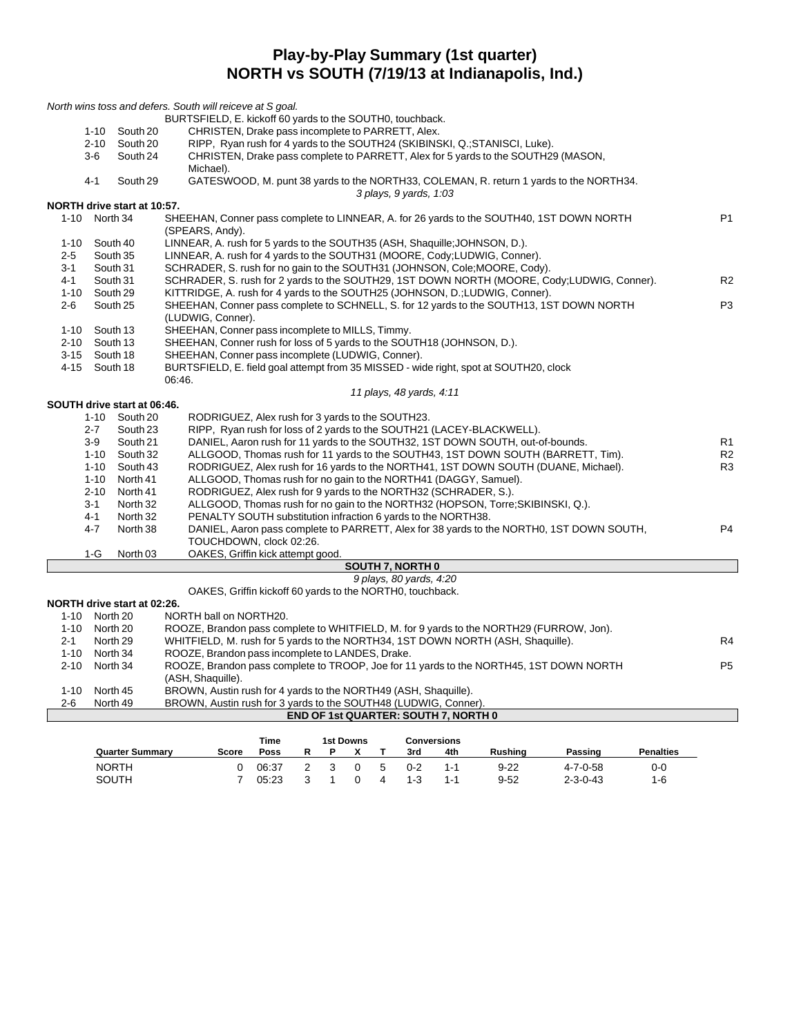#### **Play-by-Play Summary (1st quarter) NORTH vs SOUTH (7/19/13 at Indianapolis, Ind.)**

|          |               |                             | North wins toss and defers. South will reiceve at S goal.                                                   |                |
|----------|---------------|-----------------------------|-------------------------------------------------------------------------------------------------------------|----------------|
|          |               |                             | BURTSFIELD, E. kickoff 60 yards to the SOUTH0, touchback.                                                   |                |
|          | $1 - 10$      | South 20                    | CHRISTEN, Drake pass incomplete to PARRETT, Alex.                                                           |                |
|          | $2 - 10$      | South 20                    | RIPP, Ryan rush for 4 yards to the SOUTH24 (SKIBINSKI, Q.; STANISCI, Luke).                                 |                |
|          | 3-6           | South 24                    | CHRISTEN, Drake pass complete to PARRETT, Alex for 5 yards to the SOUTH29 (MASON,                           |                |
|          |               |                             | Michael).                                                                                                   |                |
|          | 4-1           | South 29                    | GATESWOOD, M. punt 38 yards to the NORTH33, COLEMAN, R. return 1 yards to the NORTH34.                      |                |
|          |               |                             | 3 plays, 9 yards, 1:03                                                                                      |                |
|          |               | NORTH drive start at 10:57. |                                                                                                             |                |
|          | 1-10 North 34 |                             | SHEEHAN, Conner pass complete to LINNEAR, A. for 26 yards to the SOUTH40, 1ST DOWN NORTH<br>(SPEARS, Andy). | P <sub>1</sub> |
| 1-10     | South 40      |                             | LINNEAR, A. rush for 5 yards to the SOUTH35 (ASH, Shaquille: JOHNSON, D.).                                  |                |
| $2 - 5$  | South 35      |                             | LINNEAR, A. rush for 4 yards to the SOUTH31 (MOORE, Cody;LUDWIG, Conner).                                   |                |
| 3-1      | South 31      |                             | SCHRADER, S. rush for no gain to the SOUTH31 (JOHNSON, Cole; MOORE, Cody).                                  |                |
| $4 - 1$  | South 31      |                             | SCHRADER, S. rush for 2 yards to the SOUTH29, 1ST DOWN NORTH (MOORE, Cody;LUDWIG, Conner).                  | R <sub>2</sub> |
| $1 - 10$ | South 29      |                             | KITTRIDGE, A. rush for 4 yards to the SOUTH25 (JOHNSON, D.;LUDWIG, Conner).                                 |                |
| 2-6      | South 25      |                             | SHEEHAN, Conner pass complete to SCHNELL, S. for 12 yards to the SOUTH13, 1ST DOWN NORTH                    | P <sub>3</sub> |
|          |               |                             | (LUDWIG, Conner).                                                                                           |                |
|          | 1-10 South 13 |                             | SHEEHAN, Conner pass incomplete to MILLS, Timmy.                                                            |                |
|          | 2-10 South 13 |                             | SHEEHAN, Conner rush for loss of 5 yards to the SOUTH18 (JOHNSON, D.).                                      |                |
| $3 - 15$ | South 18      |                             | SHEEHAN, Conner pass incomplete (LUDWIG, Conner).                                                           |                |
| 4-15     | South 18      |                             | BURTSFIELD, E. field goal attempt from 35 MISSED - wide right, spot at SOUTH20, clock                       |                |
|          |               |                             | 06:46.                                                                                                      |                |
|          |               |                             | 11 plays, 48 yards, 4:11                                                                                    |                |
|          |               | SOUTH drive start at 06:46. |                                                                                                             |                |
|          | $1 - 10$      | South 20                    | RODRIGUEZ, Alex rush for 3 yards to the SOUTH23.                                                            |                |
|          | $2 - 7$       | South 23                    | RIPP, Ryan rush for loss of 2 yards to the SOUTH21 (LACEY-BLACKWELL).                                       |                |
|          | $3-9$         | South 21                    | DANIEL, Aaron rush for 11 yards to the SOUTH32, 1ST DOWN SOUTH, out-of-bounds.                              | R1             |
|          | 1-10          | South 32                    | ALLGOOD, Thomas rush for 11 yards to the SOUTH43, 1ST DOWN SOUTH (BARRETT, Tim).                            | R <sub>2</sub> |
|          | $1 - 10$      | South 43                    | RODRIGUEZ, Alex rush for 16 yards to the NORTH41, 1ST DOWN SOUTH (DUANE, Michael).                          | R3             |
|          | $1 - 10$      | North 41                    | ALLGOOD, Thomas rush for no gain to the NORTH41 (DAGGY, Samuel).                                            |                |
|          | $2 - 10$      | North 41                    | RODRIGUEZ, Alex rush for 9 yards to the NORTH32 (SCHRADER, S.).                                             |                |
|          | $3 - 1$       | North 32                    | ALLGOOD, Thomas rush for no gain to the NORTH32 (HOPSON, Torre; SKIBINSKI, Q.).                             |                |
|          | 4-1           | North 32                    | PENALTY SOUTH substitution infraction 6 yards to the NORTH38.                                               |                |
|          | $4 - 7$       | North 38                    | DANIEL, Aaron pass complete to PARRETT, Alex for 38 yards to the NORTH0, 1ST DOWN SOUTH,                    | P <sub>4</sub> |
|          |               |                             | TOUCHDOWN, clock 02:26.                                                                                     |                |
|          | $1-G$         | North <sub>03</sub>         | OAKES, Griffin kick attempt good.                                                                           |                |
|          |               |                             | <b>SOUTH 7, NORTH 0</b>                                                                                     |                |
|          |               |                             | 9 plays, 80 yards, 4:20                                                                                     |                |
|          |               |                             | OAKES, Griffin kickoff 60 yards to the NORTH0, touchback.                                                   |                |
|          |               | NORTH drive start at 02:26. |                                                                                                             |                |
|          | 1-10 North 20 |                             | NORTH ball on NORTH20.                                                                                      |                |
|          | 1-10 North 20 |                             | ROOZE, Brandon pass complete to WHITFIELD, M. for 9 yards to the NORTH29 (FURROW, Jon).                     |                |
| $2 - 1$  | North 29      |                             | WHITFIELD, M. rush for 5 yards to the NORTH34, 1ST DOWN NORTH (ASH, Shaquille).                             | R4             |
|          | 1-10 North 34 |                             | ROOZE, Brandon pass incomplete to LANDES, Drake.                                                            |                |
| 2-10     | North 34      |                             | ROOZE, Brandon pass complete to TROOP, Joe for 11 yards to the NORTH45, 1ST DOWN NORTH                      | P <sub>5</sub> |
|          |               |                             | (ASH, Shaquille).                                                                                           |                |
| $1 - 10$ | North 45      |                             | BROWN, Austin rush for 4 yards to the NORTH49 (ASH, Shaquille).                                             |                |
| 2-6      | North 49      |                             | BROWN, Austin rush for 3 yards to the SOUTH48 (LUDWIG, Conner).                                             |                |
|          |               |                             | <b>END OF 1st QUARTER: SOUTH 7, NORTH 0</b>                                                                 |                |
|          |               |                             |                                                                                                             |                |
|          |               |                             | <b>1st Downs</b><br>Time<br><b>Conversions</b>                                                              |                |

|                        |       | ,,,,,, |  | בוואטש ופו |    |         | <b>UUIIVEI SIUIIS</b> |                |                  |                  |
|------------------------|-------|--------|--|------------|----|---------|-----------------------|----------------|------------------|------------------|
| <b>Quarter Summary</b> | Score | Poss   |  |            |    | 3rd     | 4th                   | <b>Rushing</b> | Passing          | <b>Penalties</b> |
| <b>NORTH</b>           |       | 06:37  |  | $\Omega$   | -5 | $0 - 2$ | 1-1                   | $9 - 22$       | 4-7-0-58         | 0-C              |
| SOUTH                  |       | 05:23  |  |            |    | $1 - 3$ |                       | $9 - 52$       | $2 - 3 - 0 - 43$ | 1-6              |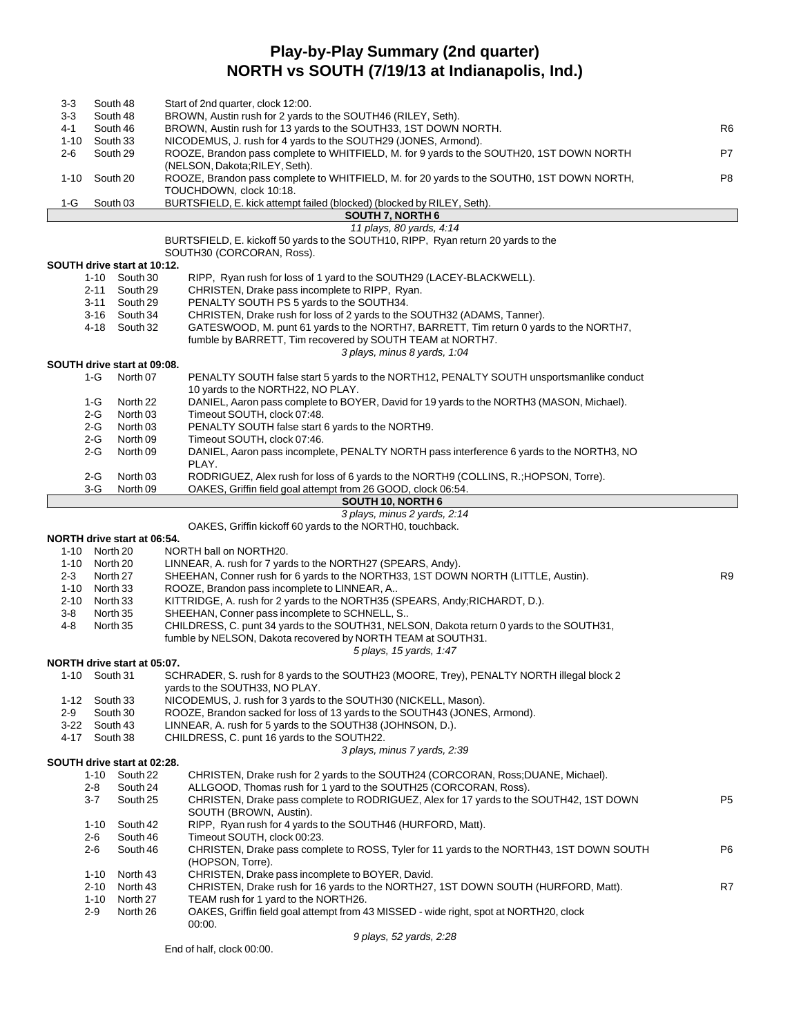## **Play-by-Play Summary (2nd quarter) NORTH vs SOUTH (7/19/13 at Indianapolis, Ind.)**

| 3-3      |               | South 48                       | Start of 2nd quarter, clock 12:00.                                                                                                       |                |
|----------|---------------|--------------------------------|------------------------------------------------------------------------------------------------------------------------------------------|----------------|
| $3-3$    |               | South 48                       | BROWN, Austin rush for 2 yards to the SOUTH46 (RILEY, Seth).                                                                             |                |
| 4-1      |               | South 46                       | BROWN, Austin rush for 13 yards to the SOUTH33, 1ST DOWN NORTH.                                                                          | R <sub>6</sub> |
| 1-10     |               | South 33                       | NICODEMUS, J. rush for 4 yards to the SOUTH29 (JONES, Armond).                                                                           |                |
| 2-6      |               | South 29                       | ROOZE, Brandon pass complete to WHITFIELD, M. for 9 yards to the SOUTH20, 1ST DOWN NORTH<br>(NELSON, Dakota; RILEY, Seth).               | P7             |
| $1 - 10$ |               | South 20                       | ROOZE, Brandon pass complete to WHITFIELD, M. for 20 yards to the SOUTH0, 1ST DOWN NORTH,<br>TOUCHDOWN, clock 10:18.                     | P8             |
| 1-G      |               | South 03                       | BURTSFIELD, E. kick attempt failed (blocked) (blocked by RILEY, Seth).                                                                   |                |
|          |               |                                | <b>SOUTH 7, NORTH 6</b>                                                                                                                  |                |
|          |               |                                | 11 plays, 80 yards, 4:14                                                                                                                 |                |
|          |               |                                | BURTSFIELD, E. kickoff 50 yards to the SOUTH10, RIPP, Ryan return 20 yards to the                                                        |                |
|          |               |                                | SOUTH30 (CORCORAN, Ross).                                                                                                                |                |
|          |               | SOUTH drive start at 10:12.    |                                                                                                                                          |                |
|          |               | 1-10 South 30                  | RIPP, Ryan rush for loss of 1 yard to the SOUTH29 (LACEY-BLACKWELL).                                                                     |                |
|          | 2-11          | South 29                       | CHRISTEN, Drake pass incomplete to RIPP, Ryan.                                                                                           |                |
|          |               | 3-11 South 29<br>3-16 South 34 | PENALTY SOUTH PS 5 yards to the SOUTH34.<br>CHRISTEN, Drake rush for loss of 2 yards to the SOUTH32 (ADAMS, Tanner).                     |                |
|          |               | 4-18 South 32                  | GATESWOOD, M. punt 61 yards to the NORTH7, BARRETT, Tim return 0 yards to the NORTH7,                                                    |                |
|          |               |                                | fumble by BARRETT, Tim recovered by SOUTH TEAM at NORTH7.<br>3 plays, minus 8 yards, 1:04                                                |                |
|          |               | SOUTH drive start at 09:08.    |                                                                                                                                          |                |
|          | 1-G           | North 07                       | PENALTY SOUTH false start 5 yards to the NORTH12, PENALTY SOUTH unsportsmanlike conduct                                                  |                |
|          |               |                                | 10 yards to the NORTH22, NO PLAY.                                                                                                        |                |
|          | 1-G<br>2-G    | North 22<br>North 03           | DANIEL, Aaron pass complete to BOYER, David for 19 yards to the NORTH3 (MASON, Michael).<br>Timeout SOUTH, clock 07:48.                  |                |
|          | 2-G           | North 03                       | PENALTY SOUTH false start 6 yards to the NORTH9.                                                                                         |                |
|          | 2-G           | North 09                       | Timeout SOUTH, clock 07:46.                                                                                                              |                |
|          | $2-G$         | North 09                       | DANIEL, Aaron pass incomplete, PENALTY NORTH pass interference 6 yards to the NORTH3, NO                                                 |                |
|          |               |                                | PLAY.                                                                                                                                    |                |
|          | 2-G           | North 03                       | RODRIGUEZ, Alex rush for loss of 6 yards to the NORTH9 (COLLINS, R.; HOPSON, Torre).                                                     |                |
|          | 3-G           | North 09                       | OAKES, Griffin field goal attempt from 26 GOOD, clock 06:54.                                                                             |                |
|          |               |                                | SOUTH 10, NORTH 6                                                                                                                        |                |
|          |               |                                | 3 plays, minus 2 yards, 2:14                                                                                                             |                |
|          |               |                                | OAKES, Griffin kickoff 60 yards to the NORTH0, touchback.                                                                                |                |
|          |               |                                |                                                                                                                                          |                |
|          |               | NORTH drive start at 06:54.    |                                                                                                                                          |                |
|          | 1-10 North 20 |                                | NORTH ball on NORTH20.                                                                                                                   |                |
|          | 1-10 North 20 |                                | LINNEAR, A. rush for 7 yards to the NORTH27 (SPEARS, Andy).                                                                              |                |
| $2 - 3$  |               | North 27                       | SHEEHAN, Conner rush for 6 yards to the NORTH33, 1ST DOWN NORTH (LITTLE, Austin).                                                        | R <sub>9</sub> |
| 1-10     |               | North 33                       | ROOZE, Brandon pass incomplete to LINNEAR, A                                                                                             |                |
| $2 - 10$ |               | North 33                       | KITTRIDGE, A. rush for 2 yards to the NORTH35 (SPEARS, Andy; RICHARDT, D.).                                                              |                |
| $3 - 8$  |               | North 35                       | SHEEHAN, Conner pass incomplete to SCHNELL, S                                                                                            |                |
| 4-8      |               | North 35                       | CHILDRESS, C. punt 34 yards to the SOUTH31, NELSON, Dakota return 0 yards to the SOUTH31,                                                |                |
|          |               |                                | fumble by NELSON, Dakota recovered by NORTH TEAM at SOUTH31.                                                                             |                |
|          |               |                                | 5 plays, 15 yards, 1:47                                                                                                                  |                |
|          |               | NORTH drive start at 05:07.    |                                                                                                                                          |                |
|          | 1-10 South 31 |                                | SCHRADER, S. rush for 8 yards to the SOUTH23 (MOORE, Trey), PENALTY NORTH illegal block 2                                                |                |
| 1-12     |               | South 33                       | yards to the SOUTH33, NO PLAY.                                                                                                           |                |
| 2-9      |               | South 30                       | NICODEMUS, J. rush for 3 yards to the SOUTH30 (NICKELL, Mason).                                                                          |                |
| $3-22$   |               | South 43                       | ROOZE, Brandon sacked for loss of 13 yards to the SOUTH43 (JONES, Armond).<br>LINNEAR, A. rush for 5 yards to the SOUTH38 (JOHNSON, D.). |                |
| 4-17     |               | South 38                       | CHILDRESS, C. punt 16 yards to the SOUTH22.                                                                                              |                |
|          |               |                                | 3 plays, minus 7 yards, 2:39                                                                                                             |                |
|          |               | SOUTH drive start at 02:28.    |                                                                                                                                          |                |
|          | 1-10          | South 22                       | CHRISTEN, Drake rush for 2 yards to the SOUTH24 (CORCORAN, Ross; DUANE, Michael).                                                        |                |
|          | 2-8           | South 24                       | ALLGOOD, Thomas rush for 1 yard to the SOUTH25 (CORCORAN, Ross).                                                                         |                |
|          | 3-7           | South 25                       | CHRISTEN, Drake pass complete to RODRIGUEZ, Alex for 17 yards to the SOUTH42, 1ST DOWN<br>SOUTH (BROWN, Austin).                         | P5             |
|          | $1 - 10$      | South 42                       | RIPP, Ryan rush for 4 yards to the SOUTH46 (HURFORD, Matt).                                                                              |                |
|          | 2-6           | South 46                       | Timeout SOUTH, clock 00:23.                                                                                                              |                |
|          | 2-6           | South 46                       | CHRISTEN, Drake pass complete to ROSS, Tyler for 11 yards to the NORTH43, 1ST DOWN SOUTH<br>(HOPSON, Torre).                             | P6             |
|          | $1 - 10$      | North 43                       | CHRISTEN, Drake pass incomplete to BOYER, David.                                                                                         |                |
|          | $2 - 10$      | North 43                       | CHRISTEN, Drake rush for 16 yards to the NORTH27, 1ST DOWN SOUTH (HURFORD, Matt).                                                        | R7             |
|          | $1 - 10$      | North 27                       | TEAM rush for 1 yard to the NORTH26.                                                                                                     |                |
|          | $2 - 9$       | North 26                       | OAKES, Griffin field goal attempt from 43 MISSED - wide right, spot at NORTH20, clock<br>00:00.                                          |                |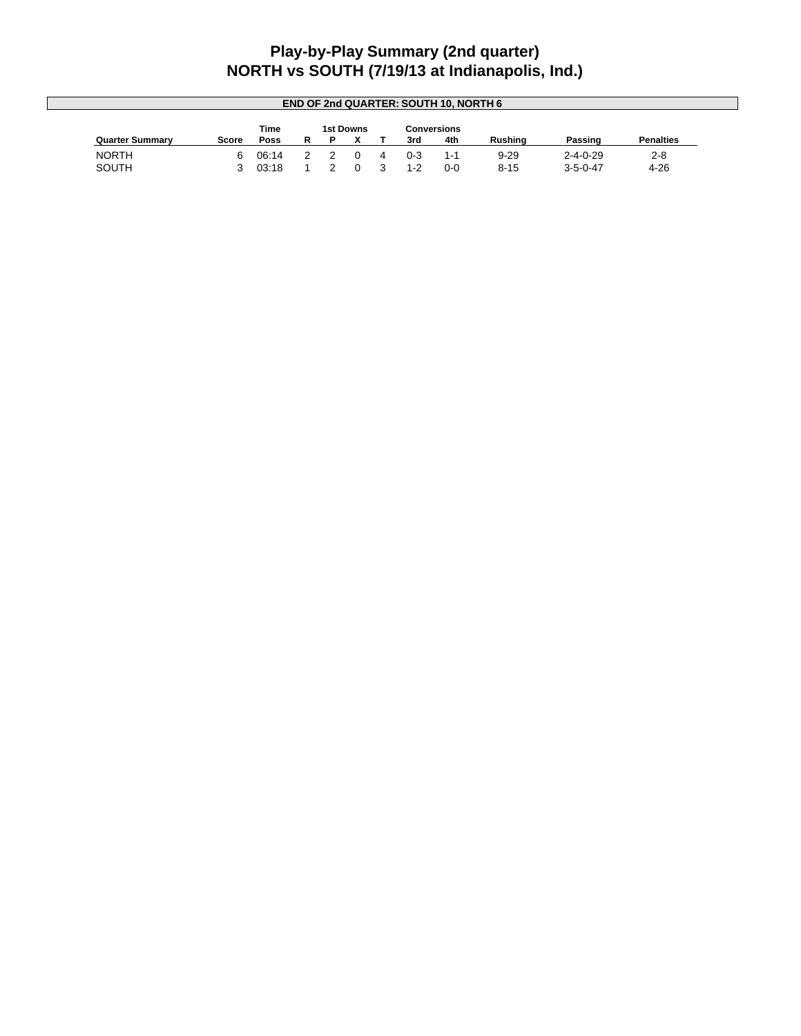## **Play-by-Play Summary (2nd quarter) NORTH vs SOUTH (7/19/13 at Indianapolis, Ind.)**

| <b>END OF 2nd QUARTER: SOUTH 10, NORTH 6</b> |       |       |  |  |           |  |         |             |          |                  |                  |
|----------------------------------------------|-------|-------|--|--|-----------|--|---------|-------------|----------|------------------|------------------|
|                                              |       | Time  |  |  | 1st Downs |  |         | Conversions |          |                  |                  |
| <b>Quarter Summary</b>                       | Score | Poss  |  |  |           |  | 3rd     | 4th         | Rushina  | Passing          | <b>Penalties</b> |
| <b>NORTH</b>                                 | 6.    | 06:14 |  |  |           |  | $0 - 3$ | 1-1         | $9 - 29$ | $2 - 4 - 0 - 29$ | $2 - 8$          |
| SOUTH                                        |       | 03:18 |  |  |           |  | $1 - 2$ | $0-0$       | $8 - 15$ | $3 - 5 - 0 - 47$ | $4 - 26$         |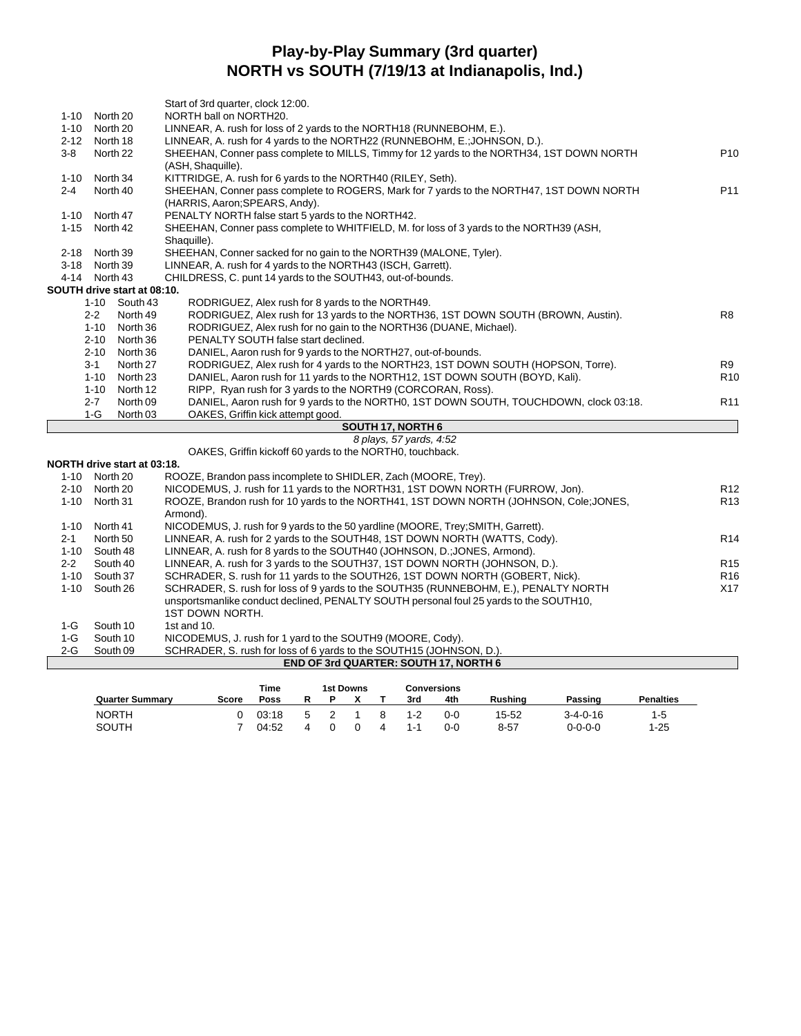# **Play-by-Play Summary (3rd quarter) NORTH vs SOUTH (7/19/13 at Indianapolis, Ind.)**

|          |                                 | Start of 3rd quarter, clock 12:00.                                                                                                                                                                                                                                                                                                 |                 |
|----------|---------------------------------|------------------------------------------------------------------------------------------------------------------------------------------------------------------------------------------------------------------------------------------------------------------------------------------------------------------------------------|-----------------|
| $1 - 10$ | North 20                        | NORTH ball on NORTH20.                                                                                                                                                                                                                                                                                                             |                 |
| $1 - 10$ | North 20                        | LINNEAR, A. rush for loss of 2 yards to the NORTH18 (RUNNEBOHM, E.).                                                                                                                                                                                                                                                               |                 |
| $2 - 12$ | North 18                        | LINNEAR, A. rush for 4 yards to the NORTH22 (RUNNEBOHM, E.; JOHNSON, D.).                                                                                                                                                                                                                                                          |                 |
| $3-8$    | North 22                        | SHEEHAN, Conner pass complete to MILLS, Timmy for 12 yards to the NORTH34, 1ST DOWN NORTH                                                                                                                                                                                                                                          | P <sub>10</sub> |
|          |                                 | (ASH, Shaquille).                                                                                                                                                                                                                                                                                                                  |                 |
| $1 - 10$ | North 34                        | KITTRIDGE, A. rush for 6 yards to the NORTH40 (RILEY, Seth).                                                                                                                                                                                                                                                                       |                 |
| $2 - 4$  | North 40                        | SHEEHAN, Conner pass complete to ROGERS, Mark for 7 yards to the NORTH47, 1ST DOWN NORTH                                                                                                                                                                                                                                           | P <sub>11</sub> |
|          |                                 | (HARRIS, Aaron; SPEARS, Andy).                                                                                                                                                                                                                                                                                                     |                 |
| $1 - 10$ | North 47                        | PENALTY NORTH false start 5 yards to the NORTH42.                                                                                                                                                                                                                                                                                  |                 |
| $1 - 15$ | North 42                        | SHEEHAN, Conner pass complete to WHITFIELD, M. for loss of 3 yards to the NORTH39 (ASH,                                                                                                                                                                                                                                            |                 |
|          |                                 | Shaquille).                                                                                                                                                                                                                                                                                                                        |                 |
|          | 2-18 North 39                   | SHEEHAN, Conner sacked for no gain to the NORTH39 (MALONE, Tyler).                                                                                                                                                                                                                                                                 |                 |
|          | 3-18 North 39                   | LINNEAR, A. rush for 4 yards to the NORTH43 (ISCH, Garrett).                                                                                                                                                                                                                                                                       |                 |
|          | 4-14 North 43                   | CHILDRESS, C. punt 14 yards to the SOUTH43, out-of-bounds.                                                                                                                                                                                                                                                                         |                 |
|          | SOUTH drive start at 08:10.     |                                                                                                                                                                                                                                                                                                                                    |                 |
|          | 1-10 South 43                   | RODRIGUEZ, Alex rush for 8 yards to the NORTH49.                                                                                                                                                                                                                                                                                   |                 |
|          | $2 - 2$<br>North 49             | RODRIGUEZ, Alex rush for 13 yards to the NORTH36, 1ST DOWN SOUTH (BROWN, Austin).                                                                                                                                                                                                                                                  | R <sub>8</sub>  |
|          | $1 - 10$<br>North 36            | RODRIGUEZ, Alex rush for no gain to the NORTH36 (DUANE, Michael).                                                                                                                                                                                                                                                                  |                 |
|          | $2 - 10$<br>North 36            | PENALTY SOUTH false start declined.                                                                                                                                                                                                                                                                                                |                 |
|          | $2 - 10$<br>North 36            | DANIEL, Aaron rush for 9 yards to the NORTH27, out-of-bounds.                                                                                                                                                                                                                                                                      |                 |
|          | $3 - 1$<br>North 27             | RODRIGUEZ, Alex rush for 4 yards to the NORTH23, 1ST DOWN SOUTH (HOPSON, Torre).                                                                                                                                                                                                                                                   | R <sub>9</sub>  |
|          | North <sub>23</sub><br>$1 - 10$ | DANIEL, Aaron rush for 11 yards to the NORTH12, 1ST DOWN SOUTH (BOYD, Kali).                                                                                                                                                                                                                                                       | R <sub>10</sub> |
|          | North 12<br>$1 - 10$            | RIPP, Ryan rush for 3 yards to the NORTH9 (CORCORAN, Ross).                                                                                                                                                                                                                                                                        |                 |
|          | $2 - 7$<br>North 09             | DANIEL, Aaron rush for 9 yards to the NORTH0, 1ST DOWN SOUTH, TOUCHDOWN, clock 03:18.                                                                                                                                                                                                                                              | R <sub>11</sub> |
|          | $1-G$<br>North <sub>03</sub>    | OAKES, Griffin kick attempt good.                                                                                                                                                                                                                                                                                                  |                 |
|          |                                 | SOUTH 17, NORTH 6                                                                                                                                                                                                                                                                                                                  |                 |
|          |                                 | 8 plays, 57 yards, 4:52                                                                                                                                                                                                                                                                                                            |                 |
|          |                                 | OAKES, Griffin kickoff 60 yards to the NORTH0, touchback.                                                                                                                                                                                                                                                                          |                 |
|          | NORTH drive start at 03:18.     |                                                                                                                                                                                                                                                                                                                                    |                 |
|          | 1-10 North 20                   | ROOZE, Brandon pass incomplete to SHIDLER, Zach (MOORE, Trey).                                                                                                                                                                                                                                                                     |                 |
| $2 - 10$ | North 20                        | NICODEMUS, J. rush for 11 yards to the NORTH31, 1ST DOWN NORTH (FURROW, Jon).                                                                                                                                                                                                                                                      | R <sub>12</sub> |
| $1 - 10$ | North 31                        | ROOZE, Brandon rush for 10 yards to the NORTH41, 1ST DOWN NORTH (JOHNSON, Cole; JONES,                                                                                                                                                                                                                                             | R <sub>13</sub> |
|          |                                 | Armond).                                                                                                                                                                                                                                                                                                                           |                 |
|          | 1-10 North 41                   | NICODEMUS, J. rush for 9 yards to the 50 yardline (MOORE, Trey; SMITH, Garrett).                                                                                                                                                                                                                                                   |                 |
| $2 - 1$  | North 50                        | LINNEAR, A. rush for 2 yards to the SOUTH48, 1ST DOWN NORTH (WATTS, Cody).                                                                                                                                                                                                                                                         | R <sub>14</sub> |
|          | 1-10 South 48                   | LINNEAR, A. rush for 8 yards to the SOUTH40 (JOHNSON, D.; JONES, Armond).                                                                                                                                                                                                                                                          |                 |
|          | $\sim$ $\sim$                   | $\mathbf{1}$ $\mathbf{1}$ $\mathbf{1}$ $\mathbf{1}$ $\mathbf{2}$ $\mathbf{3}$ $\mathbf{4}$ $\mathbf{5}$ $\mathbf{5}$ $\mathbf{1}$ $\mathbf{1}$ $\mathbf{1}$ $\mathbf{2}$ $\mathbf{3}$ $\mathbf{3}$ $\mathbf{4}$ $\mathbf{5}$ $\mathbf{5}$ $\mathbf{5}$ $\mathbf{6}$ $\mathbf{1}$ $\mathbf{1}$ $\mathbf{2}$ $\mathbf{3}$ $\mathbf{$ | $\sim$ $\sim$   |

| 2-2   | South 40      | LINNEAR, A. rush for 3 yards to the SOUTH37, 1ST DOWN NORTH (JOHNSON, D.).             | R <sub>15</sub> |
|-------|---------------|----------------------------------------------------------------------------------------|-----------------|
|       | 1-10 South 37 | SCHRADER, S. rush for 11 yards to the SOUTH26, 1ST DOWN NORTH (GOBERT, Nick).          | R16             |
|       | 1-10 South 26 | SCHRADER, S. rush for loss of 9 yards to the SOUTH35 (RUNNEBOHM, E.), PENALTY NORTH    | X17             |
|       |               | unsportsmanlike conduct declined, PENALTY SOUTH personal foul 25 yards to the SOUTH10, |                 |
|       |               | 1ST DOWN NORTH.                                                                        |                 |
| 1-G - | South 10      | 1st and 10.                                                                            |                 |
|       |               |                                                                                        |                 |

1-G South 10 NICODEMUS, J. rush for 1 yard to the SOUTH9 (MOORE, Cody).<br>2-G South 09 SCHRADER, S. rush for loss of 6 yards to the SOUTH15 (JOHNS)

2-G South 09 SCHRADER, S. rush for loss of 6 yards to the SOUTH15 (JOHNSON, D.). **END OF 3rd QUARTER: SOUTH 17, NORTH 6**

|                        |       | Time  |  | 1st Downs |   |         | Conversions |                |                  |                  |
|------------------------|-------|-------|--|-----------|---|---------|-------------|----------------|------------------|------------------|
| <b>Quarter Summary</b> | Score | Poss  |  |           |   | 3rd     | 4th         | <b>Rushing</b> | Passing          | <b>Penalties</b> |
| <b>NORTH</b>           |       | 03:18 |  |           |   | $1 - 2$ | 0-0         | 15-52          | $3 - 4 - 0 - 16$ | 1-5              |
| <b>SOUTH</b>           |       | 04:52 |  |           | 4 | $1 - 1$ | 0-0         | $8 - 57$       | $0 - 0 - 0 - 0$  | $1 - 25$         |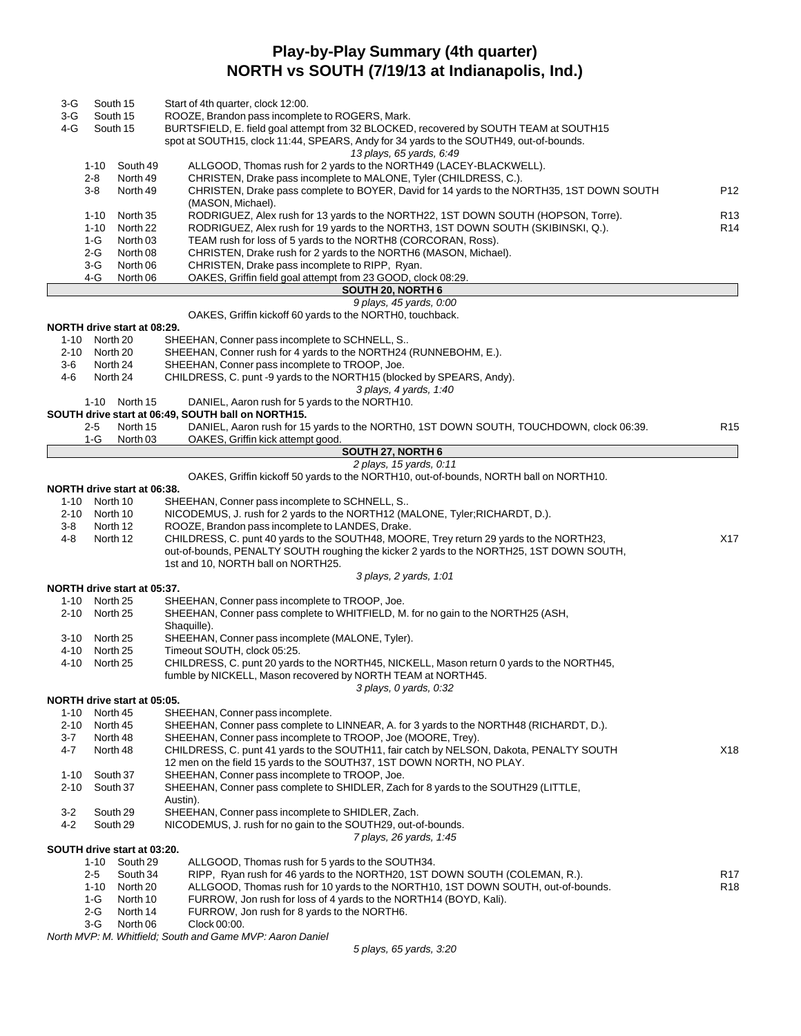# **Play-by-Play Summary (4th quarter) NORTH vs SOUTH (7/19/13 at Indianapolis, Ind.)**

| 3-G      | South 15      |                             | Start of 4th quarter, clock 12:00.                                                        |                 |
|----------|---------------|-----------------------------|-------------------------------------------------------------------------------------------|-----------------|
| 3-G      | South 15      |                             | ROOZE, Brandon pass incomplete to ROGERS, Mark.                                           |                 |
| 4-G      | South 15      |                             | BURTSFIELD, E. field goal attempt from 32 BLOCKED, recovered by SOUTH TEAM at SOUTH15     |                 |
|          |               |                             | spot at SOUTH15, clock 11:44, SPEARS, Andy for 34 yards to the SOUTH49, out-of-bounds.    |                 |
|          |               |                             | 13 plays, 65 yards, 6:49                                                                  |                 |
|          | 1-10          | South 49                    | ALLGOOD, Thomas rush for 2 yards to the NORTH49 (LACEY-BLACKWELL).                        |                 |
|          | $2 - 8$       | North 49                    | CHRISTEN, Drake pass incomplete to MALONE, Tyler (CHILDRESS, C.).                         |                 |
|          | 3-8           | North 49                    | CHRISTEN, Drake pass complete to BOYER, David for 14 yards to the NORTH35, 1ST DOWN SOUTH | P12             |
|          |               |                             | (MASON, Michael).                                                                         |                 |
|          | 1-10          | North 35                    | RODRIGUEZ, Alex rush for 13 yards to the NORTH22, 1ST DOWN SOUTH (HOPSON, Torre).         | R <sub>13</sub> |
|          | $1 - 10$      | North 22                    | RODRIGUEZ, Alex rush for 19 yards to the NORTH3, 1ST DOWN SOUTH (SKIBINSKI, Q.).          | R <sub>14</sub> |
|          | 1-G           | North 03                    | TEAM rush for loss of 5 yards to the NORTH8 (CORCORAN, Ross).                             |                 |
|          | 2-G           | North 08                    | CHRISTEN, Drake rush for 2 yards to the NORTH6 (MASON, Michael).                          |                 |
|          | 3-G           | North 06                    | CHRISTEN, Drake pass incomplete to RIPP, Ryan.                                            |                 |
|          | 4-G           | North 06                    | OAKES, Griffin field goal attempt from 23 GOOD, clock 08:29.                              |                 |
|          |               |                             | SOUTH 20, NORTH 6                                                                         |                 |
|          |               |                             | 9 plays, 45 yards, 0:00                                                                   |                 |
|          |               |                             | OAKES, Griffin kickoff 60 yards to the NORTHO, touchback.                                 |                 |
|          |               | NORTH drive start at 08:29. |                                                                                           |                 |
| 1-10     | North 20      |                             | SHEEHAN, Conner pass incomplete to SCHNELL, S                                             |                 |
|          | 2-10 North 20 |                             | SHEEHAN, Conner rush for 4 yards to the NORTH24 (RUNNEBOHM, E.).                          |                 |
| 3-6      | North 24      |                             | SHEEHAN, Conner pass incomplete to TROOP, Joe.                                            |                 |
| 4-6      | North 24      |                             | CHILDRESS, C. punt -9 yards to the NORTH15 (blocked by SPEARS, Andy).                     |                 |
|          |               |                             | 3 plays, 4 yards, 1:40                                                                    |                 |
|          | 1-10          | North 15                    | DANIEL, Aaron rush for 5 yards to the NORTH10.                                            |                 |
|          |               |                             | SOUTH drive start at 06:49, SOUTH ball on NORTH15.                                        |                 |
|          | 2-5           | North 15                    | DANIEL, Aaron rush for 15 yards to the NORTH0, 1ST DOWN SOUTH, TOUCHDOWN, clock 06:39.    | R <sub>15</sub> |
|          | 1-G           | North 03                    | OAKES, Griffin kick attempt good.                                                         |                 |
|          |               |                             | SOUTH 27, NORTH 6                                                                         |                 |
|          |               |                             | 2 plays, 15 yards, 0:11                                                                   |                 |
|          |               |                             | OAKES, Griffin kickoff 50 yards to the NORTH10, out-of-bounds, NORTH ball on NORTH10.     |                 |
|          |               | NORTH drive start at 06:38. |                                                                                           |                 |
| 1-10     | North 10      |                             | SHEEHAN, Conner pass incomplete to SCHNELL, S                                             |                 |
|          | 2-10 North 10 |                             | NICODEMUS, J. rush for 2 yards to the NORTH12 (MALONE, Tyler; RICHARDT, D.).              |                 |
| 3-8      | North 12      |                             | ROOZE, Brandon pass incomplete to LANDES, Drake.                                          |                 |
| 4-8      | North 12      |                             | CHILDRESS, C. punt 40 yards to the SOUTH48, MOORE, Trey return 29 yards to the NORTH23,   | X17             |
|          |               |                             | out-of-bounds, PENALTY SOUTH roughing the kicker 2 yards to the NORTH25, 1ST DOWN SOUTH,  |                 |
|          |               |                             | 1st and 10, NORTH ball on NORTH25.                                                        |                 |
|          |               |                             |                                                                                           |                 |
|          |               | NORTH drive start at 05:37. | 3 plays, 2 yards, 1:01                                                                    |                 |
|          |               |                             |                                                                                           |                 |
|          | 1-10 North 25 |                             | SHEEHAN, Conner pass incomplete to TROOP, Joe.                                            |                 |
|          | 2-10 North 25 |                             | SHEEHAN, Conner pass complete to WHITFIELD, M. for no gain to the NORTH25 (ASH,           |                 |
|          |               |                             | Shaquille).                                                                               |                 |
|          | 3-10 North 25 |                             | SHEEHAN, Conner pass incomplete (MALONE, Tyler).                                          |                 |
| 4-10     | North 25      |                             | Timeout SOUTH, clock 05:25.                                                               |                 |
| 4-10     | North 25      |                             | CHILDRESS, C. punt 20 yards to the NORTH45, NICKELL, Mason return 0 yards to the NORTH45, |                 |
|          |               |                             | fumble by NICKELL, Mason recovered by NORTH TEAM at NORTH45.                              |                 |
|          |               |                             | 3 plays, 0 yards, 0:32                                                                    |                 |
|          |               | NORTH drive start at 05:05. |                                                                                           |                 |
| $1 - 10$ | North 45      |                             | SHEEHAN, Conner pass incomplete.                                                          |                 |
| $2 - 10$ | North 45      |                             | SHEEHAN, Conner pass complete to LINNEAR, A. for 3 yards to the NORTH48 (RICHARDT, D.).   |                 |
| 3-7      | North 48      |                             | SHEEHAN, Conner pass incomplete to TROOP, Joe (MOORE, Trey).                              |                 |
| 4-7      | North 48      |                             | CHILDRESS, C. punt 41 yards to the SOUTH11, fair catch by NELSON, Dakota, PENALTY SOUTH   | X18             |
|          |               |                             | 12 men on the field 15 yards to the SOUTH37, 1ST DOWN NORTH, NO PLAY.                     |                 |
| $1 - 10$ | South 37      |                             | SHEEHAN, Conner pass incomplete to TROOP, Joe.                                            |                 |
| $2 - 10$ | South 37      |                             | SHEEHAN, Conner pass complete to SHIDLER, Zach for 8 yards to the SOUTH29 (LITTLE,        |                 |
|          |               |                             | Austin).                                                                                  |                 |
| $3-2$    | South 29      |                             | SHEEHAN, Conner pass incomplete to SHIDLER, Zach.                                         |                 |
| $4 - 2$  | South 29      |                             | NICODEMUS, J. rush for no gain to the SOUTH29, out-of-bounds.                             |                 |
|          |               |                             | 7 plays, 26 yards, 1:45                                                                   |                 |
|          |               | SOUTH drive start at 03:20. |                                                                                           |                 |
|          | 1-10          | South 29                    | ALLGOOD, Thomas rush for 5 yards to the SOUTH34.                                          |                 |
|          | 2-5           | South 34                    | RIPP, Ryan rush for 46 yards to the NORTH20, 1ST DOWN SOUTH (COLEMAN, R.).                | R <sub>17</sub> |
|          | 1-10          | North 20                    | ALLGOOD, Thomas rush for 10 yards to the NORTH10, 1ST DOWN SOUTH, out-of-bounds.          | R <sub>18</sub> |
|          | 1-G           | North 10                    | FURROW, Jon rush for loss of 4 yards to the NORTH14 (BOYD, Kali).                         |                 |
|          | $2-G$         | North 14                    | FURROW, Jon rush for 8 yards to the NORTH6.                                               |                 |
|          | 3-G           | North 06                    | Clock 00:00.                                                                              |                 |
|          |               |                             |                                                                                           |                 |

*North MVP: M. Whitfield; South and Game MVP: Aaron Daniel*

*5 plays, 65 yards, 3:20*